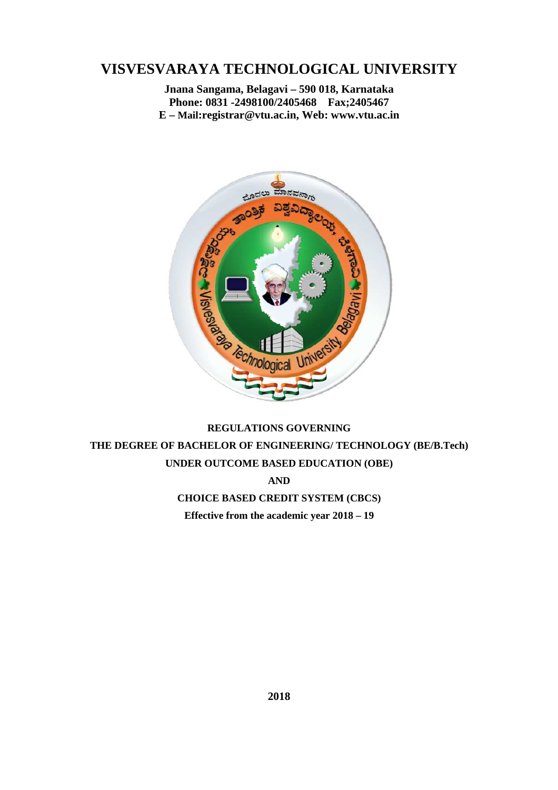# **VISVESVARAYA TECHNOLOGICAL UNIVERSITY**

**Jnana Sangama, Belagavi – 590 018, Karnataka Phone: 0831 -2498100/2405468 Fax;2405467 E – Mail:registrar@vtu.ac.in, Web: www.vtu.ac.in** 



# **REGULATIONS GOVERNING THE DEGREE OF BACHELOR OF ENGINEERING/ TECHNOLOGY (BE/B.Tech) UNDER OUTCOME BASED EDUCATION (OBE)**

**AND** 

**CHOICE BASED CREDIT SYSTEM (CBCS) Effective from the academic year 2018 – 19**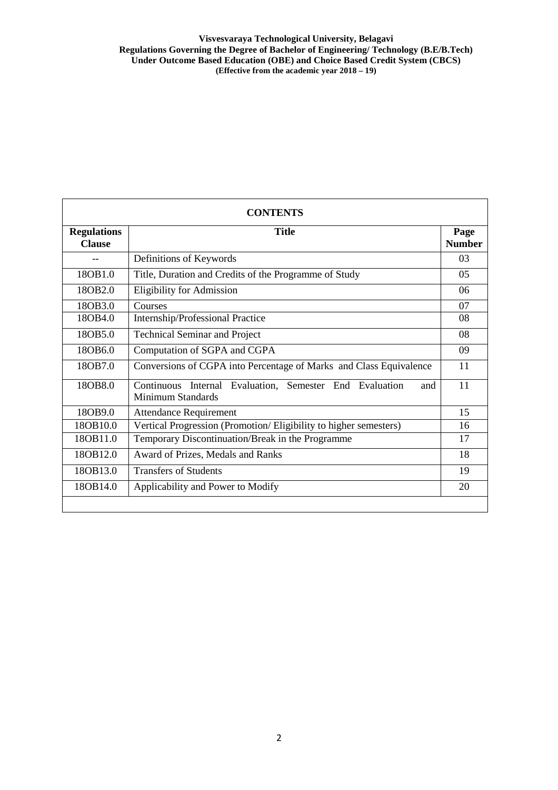| <b>CONTENTS</b>                     |                                                                                     |                       |  |  |  |  |  |
|-------------------------------------|-------------------------------------------------------------------------------------|-----------------------|--|--|--|--|--|
| <b>Regulations</b><br><b>Clause</b> | <b>Title</b>                                                                        | Page<br><b>Number</b> |  |  |  |  |  |
| --                                  | Definitions of Keywords                                                             | 03                    |  |  |  |  |  |
| 18OB1.0                             | Title, Duration and Credits of the Programme of Study                               | 0 <sub>5</sub>        |  |  |  |  |  |
| 18OB2.0                             | <b>Eligibility for Admission</b>                                                    | 06                    |  |  |  |  |  |
| 18OB3.0                             | Courses                                                                             | 07                    |  |  |  |  |  |
| 18OB4.0                             | Internship/Professional Practice                                                    |                       |  |  |  |  |  |
| 18OB5.0                             | <b>Technical Seminar and Project</b>                                                |                       |  |  |  |  |  |
| 180B <sub>6.0</sub>                 | Computation of SGPA and CGPA                                                        | 09                    |  |  |  |  |  |
| 180B7.0                             | Conversions of CGPA into Percentage of Marks and Class Equivalence                  | 11                    |  |  |  |  |  |
| 18OB8.0                             | Continuous Internal Evaluation, Semester End Evaluation<br>and<br>Minimum Standards | 11                    |  |  |  |  |  |
| 18OB9.0                             | <b>Attendance Requirement</b>                                                       | 15                    |  |  |  |  |  |
| 18OB10.0                            | Vertical Progression (Promotion/Eligibility to higher semesters)                    | 16                    |  |  |  |  |  |
| 18OB11.0                            | Temporary Discontinuation/Break in the Programme                                    | 17                    |  |  |  |  |  |
| 18OB12.0                            | Award of Prizes, Medals and Ranks                                                   | 18                    |  |  |  |  |  |
| 18OB13.0                            | <b>Transfers of Students</b>                                                        | 19                    |  |  |  |  |  |
| 18OB14.0                            | Applicability and Power to Modify                                                   | 20                    |  |  |  |  |  |
|                                     |                                                                                     |                       |  |  |  |  |  |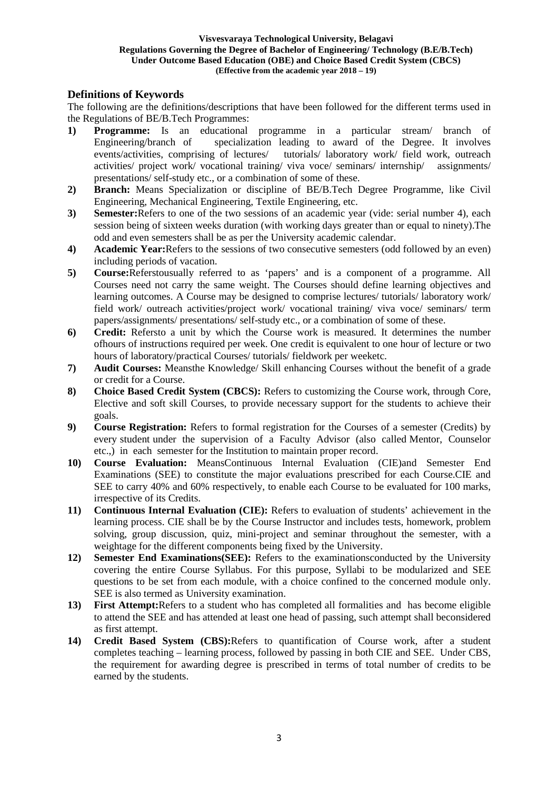# **Definitions of Keywords**

The following are the definitions/descriptions that have been followed for the different terms used in the Regulations of BE/B.Tech Programmes:

- **1) Programme:** Is an educational programme in a particular stream/ branch of Engineering/branch of specialization leading to award of the Degree. It involves events/activities, comprising of lectures/ tutorials/ laboratory work/ field work, outreach activities/ project work/ vocational training/ viva voce/ seminars/ internship/ assignments/ presentations/ self-study etc., or a combination of some of these.
- **2) Branch:** Means Specialization or discipline of BE/B.Tech Degree Programme, like Civil Engineering, Mechanical Engineering, Textile Engineering, etc.
- **3) Semester:**Refers to one of the two sessions of an academic year (vide: serial number 4), each session being of sixteen weeks duration (with working days greater than or equal to ninety).The odd and even semesters shall be as per the University academic calendar.
- **4) Academic Year:**Refers to the sessions of two consecutive semesters (odd followed by an even) including periods of vacation.
- **5) Course:**Referstousually referred to as 'papers' and is a component of a programme. All Courses need not carry the same weight. The Courses should define learning objectives and learning outcomes. A Course may be designed to comprise lectures/ tutorials/ laboratory work/ field work/ outreach activities/project work/ vocational training/ viva voce/ seminars/ term papers/assignments/ presentations/ self-study etc., or a combination of some of these.
- **6) Credit:** Refersto a unit by which the Course work is measured. It determines the number ofhours of instructions required per week. One credit is equivalent to one hour of lecture or two hours of laboratory/practical Courses/ tutorials/ fieldwork per weeketc.
- **7) Audit Courses:** Meansthe Knowledge/ Skill enhancing Courses without the benefit of a grade or credit for a Course.
- **8) Choice Based Credit System (CBCS):** Refers to customizing the Course work, through Core, Elective and soft skill Courses, to provide necessary support for the students to achieve their goals.
- **9) Course Registration:** Refers to formal registration for the Courses of a semester (Credits) by every student under the supervision of a Faculty Advisor (also called Mentor, Counselor etc.,) in each semester for the Institution to maintain proper record.
- **10) Course Evaluation:** MeansContinuous Internal Evaluation (CIE)and Semester End Examinations (SEE) to constitute the major evaluations prescribed for each Course.CIE and SEE to carry 40% and 60% respectively, to enable each Course to be evaluated for 100 marks, irrespective of its Credits.
- **11) Continuous Internal Evaluation (CIE):** Refers to evaluation of students' achievement in the learning process. CIE shall be by the Course Instructor and includes tests, homework, problem solving, group discussion, quiz, mini-project and seminar throughout the semester, with a weightage for the different components being fixed by the University.
- **12) Semester End Examinations(SEE):** Refers to the examinationsconducted by the University covering the entire Course Syllabus. For this purpose, Syllabi to be modularized and SEE questions to be set from each module, with a choice confined to the concerned module only. SEE is also termed as University examination.
- **13) First Attempt:**Refers to a student who has completed all formalities and has become eligible to attend the SEE and has attended at least one head of passing, such attempt shall beconsidered as first attempt.
- **14) Credit Based System (CBS):**Refers to quantification of Course work, after a student completes teaching – learning process, followed by passing in both CIE and SEE. Under CBS, the requirement for awarding degree is prescribed in terms of total number of credits to be earned by the students.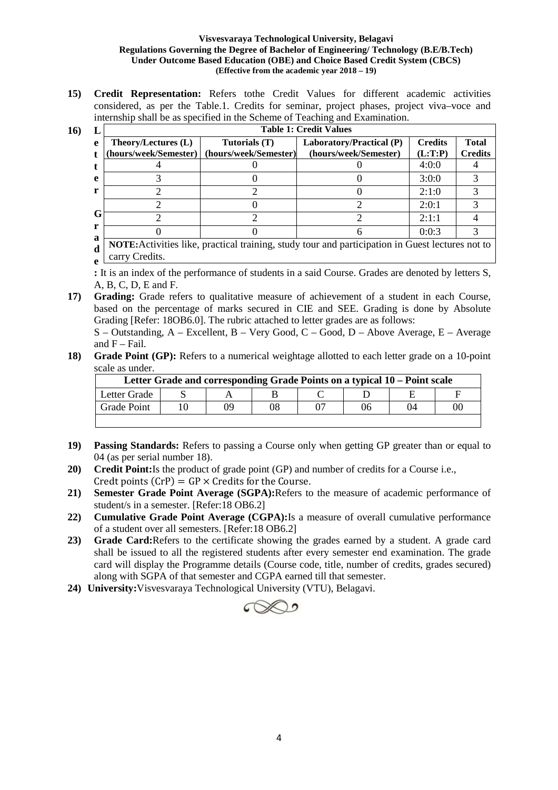**15) Credit Representation:** Refers tothe Credit Values for different academic activities considered, as per the Table.1. Credits for seminar, project phases, project viva–voce and internship shall be as specified in the Scheme of Teaching and Examination.

 $16)$ 

|    | <b>Table 1: Credit Values</b>   |                       |                          |                |                |  |  |  |  |  |
|----|---------------------------------|-----------------------|--------------------------|----------------|----------------|--|--|--|--|--|
| e  | Theory/Lectures (L)             | Tutorials (T)         | Laboratory/Practical (P) | <b>Credits</b> | <b>Total</b>   |  |  |  |  |  |
|    | (hours/week/Semester)           | (hours/week/Semester) | (hours/week/Semester)    | (L:T:P)        | <b>Credits</b> |  |  |  |  |  |
|    |                                 |                       |                          | 4:0:0          |                |  |  |  |  |  |
| e  |                                 |                       |                          | 3:0:0          |                |  |  |  |  |  |
|    |                                 |                       |                          | 2:1:0          |                |  |  |  |  |  |
|    |                                 |                       |                          | 2:0:1          |                |  |  |  |  |  |
| lт |                                 |                       |                          | 2:1:1          |                |  |  |  |  |  |
| a  |                                 |                       |                          | 0:0:3          |                |  |  |  |  |  |
|    | 1.1<br>$\cdots$<br>$\mathbf{X}$ |                       |                          |                |                |  |  |  |  |  |

**d e NOTE:**Activities like, practical training, study tour and participation in Guest lectures not to carry Credits.

**:** It is an index of the performance of students in a said Course. Grades are denoted by letters S, A, B, C, D, E and F.

**17) Grading:** Grade refers to qualitative measure of achievement of a student in each Course, based on the percentage of marks secured in CIE and SEE. Grading is done by Absolute Grading [Refer: 18OB6.0]. The rubric attached to letter grades are as follows:

S – Outstanding, A – Excellent, B – Very Good, C – Good, D – Above Average, E – Average and  $F$  – Fail.

**18) Grade Point (GP):** Refers to a numerical weightage allotted to each letter grade on a 10-point scale as under.

| Letter Grade and corresponding Grade Points on a typical 10 – Point scale |  |    |    |  |  |    |    |
|---------------------------------------------------------------------------|--|----|----|--|--|----|----|
| Letter Grade                                                              |  |    |    |  |  |    |    |
| <b>Grade Point</b>                                                        |  | 09 | 08 |  |  | 04 | 00 |
|                                                                           |  |    |    |  |  |    |    |

- **19) Passing Standards:** Refers to passing a Course only when getting GP greater than or equal to 04 (as per serial number 18).
- **20) Credit Point:**Is the product of grade point (GP) and number of credits for a Course i.e., Credt points  $(CrP) = GP \times C$ redits for the Course.
- **21) Semester Grade Point Average (SGPA):**Refers to the measure of academic performance of student/s in a semester. [Refer:18 OB6.2]
- **22) Cumulative Grade Point Average (CGPA):**Is a measure of overall cumulative performance of a student over all semesters. [Refer:18 OB6.2]
- **23) Grade Card:**Refers to the certificate showing the grades earned by a student. A grade card shall be issued to all the registered students after every semester end examination. The grade card will display the Programme details (Course code, title, number of credits, grades secured) along with SGPA of that semester and CGPA earned till that semester.
- **24) University:**Visvesvaraya Technological University (VTU), Belagavi.

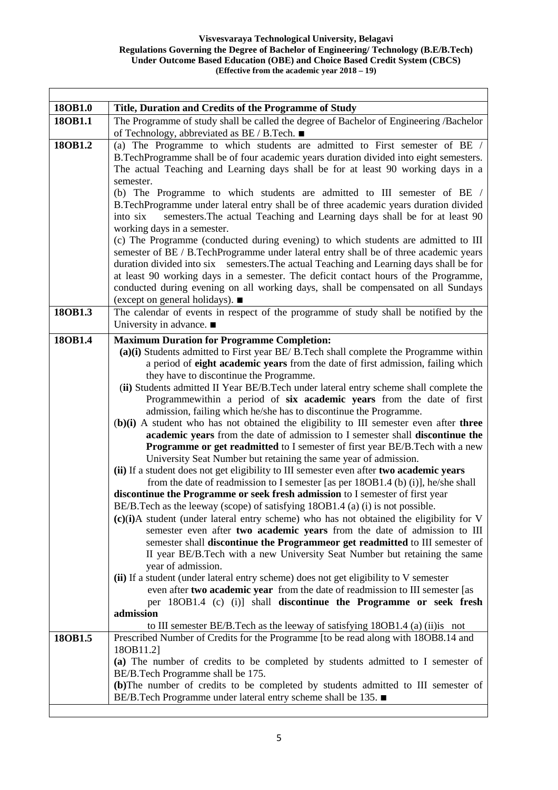٦

| 18OB1.0 | Title, Duration and Credits of the Programme of Study                                      |
|---------|--------------------------------------------------------------------------------------------|
| 180B1.1 | The Programme of study shall be called the degree of Bachelor of Engineering /Bachelor     |
|         | of Technology, abbreviated as BE / B.Tech. ■                                               |
| 18OB1.2 | (a) The Programme to which students are admitted to First semester of BE /                 |
|         | B.TechProgramme shall be of four academic years duration divided into eight semesters.     |
|         | The actual Teaching and Learning days shall be for at least 90 working days in a           |
|         | semester.                                                                                  |
|         | (b) The Programme to which students are admitted to III semester of BE /                   |
|         | B.TechProgramme under lateral entry shall be of three academic years duration divided      |
|         | semesters. The actual Teaching and Learning days shall be for at least 90<br>into six      |
|         | working days in a semester.                                                                |
|         | (c) The Programme (conducted during evening) to which students are admitted to III         |
|         | semester of BE / B.TechProgramme under lateral entry shall be of three academic years      |
|         | duration divided into six semesters. The actual Teaching and Learning days shall be for    |
|         | at least 90 working days in a semester. The deficit contact hours of the Programme,        |
|         | conducted during evening on all working days, shall be compensated on all Sundays          |
|         | (except on general holidays). ■                                                            |
| 18OB1.3 | The calendar of events in respect of the programme of study shall be notified by the       |
|         | University in advance. $\blacksquare$                                                      |
| 18OB1.4 | <b>Maximum Duration for Programme Completion:</b>                                          |
|         | (a)(i) Students admitted to First year BE/ B.Tech shall complete the Programme within      |
|         | a period of eight academic years from the date of first admission, failing which           |
|         | they have to discontinue the Programme.                                                    |
|         | (ii) Students admitted II Year BE/B. Tech under lateral entry scheme shall complete the    |
|         | Programmewithin a period of six academic years from the date of first                      |
|         | admission, failing which he/she has to discontinue the Programme.                          |
|         | $(b)(i)$ A student who has not obtained the eligibility to III semester even after three   |
|         | academic years from the date of admission to I semester shall discontinue the              |
|         | <b>Programme or get readmitted to I semester of first year BE/B. Tech with a new</b>       |
|         | University Seat Number but retaining the same year of admission.                           |
|         | (ii) If a student does not get eligibility to III semester even after two academic years   |
|         | from the date of readmission to I semester [as per 180B1.4 (b) (i)], he/she shall          |
|         | discontinue the Programme or seek fresh admission to I semester of first year              |
|         | BE/B.Tech as the leeway (scope) of satisfying 180B1.4 (a) (i) is not possible.             |
|         | $(c)(i)$ A student (under lateral entry scheme) who has not obtained the eligibility for V |
|         | semester even after two academic years from the date of admission to III                   |
|         | semester shall discontinue the Programmeor get readmitted to III semester of               |
|         | II year BE/B.Tech with a new University Seat Number but retaining the same                 |
|         | year of admission.                                                                         |
|         | (ii) If a student (under lateral entry scheme) does not get eligibility to V semester      |
|         | even after two academic year from the date of readmission to III semester [as              |
|         | per 18OB1.4 (c) (i)] shall discontinue the Programme or seek fresh                         |
|         | admission                                                                                  |
|         | to III semester BE/B. Tech as the leeway of satisfying 180B1.4 (a) (ii) is not             |
| 18OB1.5 | Prescribed Number of Credits for the Programme [to be read along with 18OB8.14 and         |
|         | 180B11.2]                                                                                  |
|         | (a) The number of credits to be completed by students admitted to I semester of            |
|         | BE/B.Tech Programme shall be 175.                                                          |
|         | (b)The number of credits to be completed by students admitted to III semester of           |
|         | BE/B.Tech Programme under lateral entry scheme shall be 135. ■                             |
|         |                                                                                            |

Ι

 $\mathsf{r}$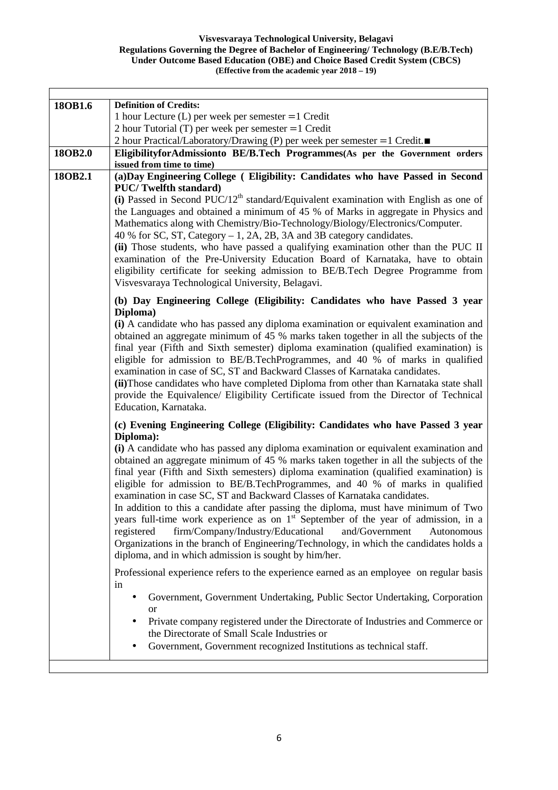| 18OB1.6 | <b>Definition of Credits:</b>                                                                                                                                                                                                                                                                                                                                                                                                                                                                                                                                                                                                                                                                                                                                                                                                                                                   |
|---------|---------------------------------------------------------------------------------------------------------------------------------------------------------------------------------------------------------------------------------------------------------------------------------------------------------------------------------------------------------------------------------------------------------------------------------------------------------------------------------------------------------------------------------------------------------------------------------------------------------------------------------------------------------------------------------------------------------------------------------------------------------------------------------------------------------------------------------------------------------------------------------|
|         | 1 hour Lecture $(L)$ per week per semester $=1$ Credit                                                                                                                                                                                                                                                                                                                                                                                                                                                                                                                                                                                                                                                                                                                                                                                                                          |
|         | 2 hour Tutorial (T) per week per semester $=1$ Credit                                                                                                                                                                                                                                                                                                                                                                                                                                                                                                                                                                                                                                                                                                                                                                                                                           |
| 18OB2.0 | 2 hour Practical/Laboratory/Drawing (P) per week per semester =1 Credit.■<br>EligibilityforAdmissionto BE/B.Tech Programmes(As per the Government orders                                                                                                                                                                                                                                                                                                                                                                                                                                                                                                                                                                                                                                                                                                                        |
|         | issued from time to time)                                                                                                                                                                                                                                                                                                                                                                                                                                                                                                                                                                                                                                                                                                                                                                                                                                                       |
| 18OB2.1 | (a) Day Engineering College (Eligibility: Candidates who have Passed in Second<br><b>PUC/Twelfth standard)</b><br>(i) Passed in Second PUC/12 <sup>th</sup> standard/Equivalent examination with English as one of<br>the Languages and obtained a minimum of 45 % of Marks in aggregate in Physics and<br>Mathematics along with Chemistry/Bio-Technology/Biology/Electronics/Computer.<br>40 % for SC, ST, Category $-1$ , 2A, 2B, 3A and 3B category candidates.                                                                                                                                                                                                                                                                                                                                                                                                             |
|         | (ii) Those students, who have passed a qualifying examination other than the PUC II<br>examination of the Pre-University Education Board of Karnataka, have to obtain<br>eligibility certificate for seeking admission to BE/B.Tech Degree Programme from<br>Visvesvaraya Technological University, Belagavi.                                                                                                                                                                                                                                                                                                                                                                                                                                                                                                                                                                   |
|         | (b) Day Engineering College (Eligibility: Candidates who have Passed 3 year                                                                                                                                                                                                                                                                                                                                                                                                                                                                                                                                                                                                                                                                                                                                                                                                     |
|         | Diploma)<br>(i) A candidate who has passed any diploma examination or equivalent examination and<br>obtained an aggregate minimum of 45 % marks taken together in all the subjects of the<br>final year (Fifth and Sixth semester) diploma examination (qualified examination) is<br>eligible for admission to BE/B.TechProgrammes, and 40 % of marks in qualified<br>examination in case of SC, ST and Backward Classes of Karnataka candidates.<br>(ii) Those candidates who have completed Diploma from other than Karnataka state shall<br>provide the Equivalence/ Eligibility Certificate issued from the Director of Technical<br>Education, Karnataka.                                                                                                                                                                                                                  |
|         | (c) Evening Engineering College (Eligibility: Candidates who have Passed 3 year                                                                                                                                                                                                                                                                                                                                                                                                                                                                                                                                                                                                                                                                                                                                                                                                 |
|         | Diploma):<br>(i) A candidate who has passed any diploma examination or equivalent examination and<br>obtained an aggregate minimum of 45 % marks taken together in all the subjects of the<br>final year (Fifth and Sixth semesters) diploma examination (qualified examination) is<br>eligible for admission to BE/B.TechProgrammes, and 40 % of marks in qualified<br>examination in case SC, ST and Backward Classes of Karnataka candidates.<br>In addition to this a candidate after passing the diploma, must have minimum of Two<br>years full-time work experience as on 1 <sup>st</sup> September of the year of admission, in a<br>firm/Company/Industry/Educational<br>registered<br>and/Government<br>Autonomous<br>Organizations in the branch of Engineering/Technology, in which the candidates holds a<br>diploma, and in which admission is sought by him/her. |
|         | Professional experience refers to the experience earned as an employee on regular basis<br>in                                                                                                                                                                                                                                                                                                                                                                                                                                                                                                                                                                                                                                                                                                                                                                                   |
|         | Government, Government Undertaking, Public Sector Undertaking, Corporation<br><sub>or</sub>                                                                                                                                                                                                                                                                                                                                                                                                                                                                                                                                                                                                                                                                                                                                                                                     |
|         | Private company registered under the Directorate of Industries and Commerce or<br>the Directorate of Small Scale Industries or                                                                                                                                                                                                                                                                                                                                                                                                                                                                                                                                                                                                                                                                                                                                                  |
|         | Government, Government recognized Institutions as technical staff.                                                                                                                                                                                                                                                                                                                                                                                                                                                                                                                                                                                                                                                                                                                                                                                                              |
|         |                                                                                                                                                                                                                                                                                                                                                                                                                                                                                                                                                                                                                                                                                                                                                                                                                                                                                 |

Ι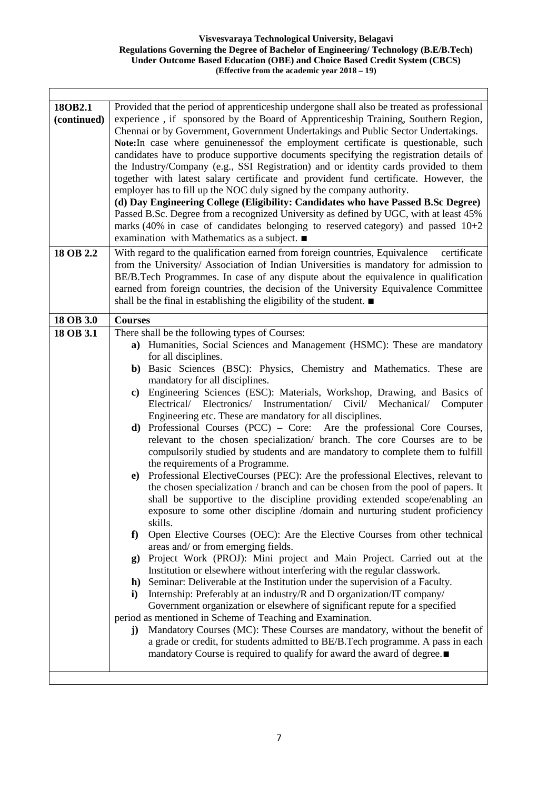٦

| 18OB2.1<br>(continued) | Provided that the period of apprenticeship undergone shall also be treated as professional<br>experience, if sponsored by the Board of Apprenticeship Training, Southern Region,<br>Chennai or by Government, Government Undertakings and Public Sector Undertakings.<br>Note: In case where genuineness of the employment certificate is questionable, such<br>candidates have to produce supportive documents specifying the registration details of<br>the Industry/Company (e.g., SSI Registration) and or identity cards provided to them |
|------------------------|------------------------------------------------------------------------------------------------------------------------------------------------------------------------------------------------------------------------------------------------------------------------------------------------------------------------------------------------------------------------------------------------------------------------------------------------------------------------------------------------------------------------------------------------|
|                        | together with latest salary certificate and provident fund certificate. However, the                                                                                                                                                                                                                                                                                                                                                                                                                                                           |
|                        | employer has to fill up the NOC duly signed by the company authority.                                                                                                                                                                                                                                                                                                                                                                                                                                                                          |
|                        | (d) Day Engineering College (Eligibility: Candidates who have Passed B.Sc Degree)<br>Passed B.Sc. Degree from a recognized University as defined by UGC, with at least 45%<br>marks (40% in case of candidates belonging to reserved category) and passed $10+2$<br>examination with Mathematics as a subject. ■                                                                                                                                                                                                                               |
| 18 OB 2.2              | With regard to the qualification earned from foreign countries, Equivalence<br>certificate                                                                                                                                                                                                                                                                                                                                                                                                                                                     |
|                        | from the University/Association of Indian Universities is mandatory for admission to<br>BE/B.Tech Programmes. In case of any dispute about the equivalence in qualification<br>earned from foreign countries, the decision of the University Equivalence Committee<br>shall be the final in establishing the eligibility of the student. ■                                                                                                                                                                                                     |
| 18 OB 3.0              | <b>Courses</b>                                                                                                                                                                                                                                                                                                                                                                                                                                                                                                                                 |
| 18 OB 3.1              | There shall be the following types of Courses:                                                                                                                                                                                                                                                                                                                                                                                                                                                                                                 |
|                        | a) Humanities, Social Sciences and Management (HSMC): These are mandatory                                                                                                                                                                                                                                                                                                                                                                                                                                                                      |
|                        | for all disciplines.                                                                                                                                                                                                                                                                                                                                                                                                                                                                                                                           |
|                        | b) Basic Sciences (BSC): Physics, Chemistry and Mathematics. These are<br>mandatory for all disciplines.                                                                                                                                                                                                                                                                                                                                                                                                                                       |
|                        | Engineering Sciences (ESC): Materials, Workshop, Drawing, and Basics of<br>c)<br>Electrical/ Electronics/ Instrumentation/ Civil/ Mechanical/ Computer<br>Engineering etc. These are mandatory for all disciplines.                                                                                                                                                                                                                                                                                                                            |
|                        | Professional Courses (PCC) – Core: Are the professional Core Courses,<br>d)<br>relevant to the chosen specialization/ branch. The core Courses are to be<br>compulsorily studied by students and are mandatory to complete them to fulfill<br>the requirements of a Programme.                                                                                                                                                                                                                                                                 |
|                        | Professional ElectiveCourses (PEC): Are the professional Electives, relevant to<br>$\bf e)$<br>the chosen specialization / branch and can be chosen from the pool of papers. It<br>shall be supportive to the discipline providing extended scope/enabling an<br>exposure to some other discipline /domain and nurturing student proficiency<br>skills.                                                                                                                                                                                        |
|                        | f)<br>Open Elective Courses (OEC): Are the Elective Courses from other technical<br>areas and/ or from emerging fields.                                                                                                                                                                                                                                                                                                                                                                                                                        |
|                        | Project Work (PROJ): Mini project and Main Project. Carried out at the<br>$\mathbf{g}$                                                                                                                                                                                                                                                                                                                                                                                                                                                         |
|                        | Institution or elsewhere without interfering with the regular classwork.                                                                                                                                                                                                                                                                                                                                                                                                                                                                       |
|                        | h) Seminar: Deliverable at the Institution under the supervision of a Faculty.<br>Internship: Preferably at an industry/R and D organization/IT company/<br>i)                                                                                                                                                                                                                                                                                                                                                                                 |
|                        | Government organization or elsewhere of significant repute for a specified                                                                                                                                                                                                                                                                                                                                                                                                                                                                     |
|                        | period as mentioned in Scheme of Teaching and Examination.                                                                                                                                                                                                                                                                                                                                                                                                                                                                                     |
|                        | Mandatory Courses (MC): These Courses are mandatory, without the benefit of<br>$\mathbf{j}$<br>a grade or credit, for students admitted to BE/B.Tech programme. A pass in each<br>mandatory Course is required to qualify for award the award of degree.                                                                                                                                                                                                                                                                                       |
|                        |                                                                                                                                                                                                                                                                                                                                                                                                                                                                                                                                                |

Ι

 $\mathsf{r}$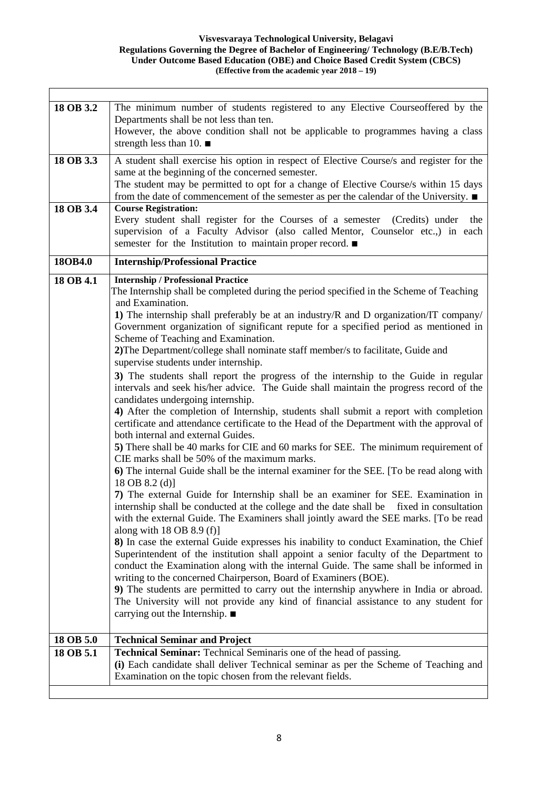| The minimum number of students registered to any Elective Courseoffered by the<br>18 OB 3.2<br>Departments shall be not less than ten.<br>However, the above condition shall not be applicable to programmes having a class<br>strength less than 10. $\blacksquare$<br>A student shall exercise his option in respect of Elective Course/s and register for the<br>18 OB 3.3<br>same at the beginning of the concerned semester.<br>The student may be permitted to opt for a change of Elective Course/s within 15 days<br>from the date of commencement of the semester as per the calendar of the University. $\blacksquare$<br>18 OB 3.4<br><b>Course Registration:</b><br>Every student shall register for the Courses of a semester (Credits) under<br>the<br>supervision of a Faculty Advisor (also called Mentor, Counselor etc.,) in each<br>semester for the Institution to maintain proper record. ■<br><b>Internship/Professional Practice</b><br>18OB4.0<br><b>Internship / Professional Practice</b><br>18 OB 4.1<br>The Internship shall be completed during the period specified in the Scheme of Teaching<br>and Examination.<br>1) The internship shall preferably be at an industry/R and D organization/IT company/<br>Government organization of significant repute for a specified period as mentioned in<br>Scheme of Teaching and Examination.<br>2) The Department/college shall nominate staff member/s to facilitate, Guide and<br>supervise students under internship.<br>3) The students shall report the progress of the internship to the Guide in regular<br>intervals and seek his/her advice. The Guide shall maintain the progress record of the<br>candidates undergoing internship.<br>4) After the completion of Internship, students shall submit a report with completion<br>certificate and attendance certificate to the Head of the Department with the approval of<br>both internal and external Guides.<br>5) There shall be 40 marks for CIE and 60 marks for SEE. The minimum requirement of<br>CIE marks shall be 50% of the maximum marks.<br>6) The internal Guide shall be the internal examiner for the SEE. [To be read along with<br>18 OB $8.2$ (d)]<br>7) The external Guide for Internship shall be an examiner for SEE. Examination in<br>internship shall be conducted at the college and the date shall be fixed in consultation<br>with the external Guide. The Examiners shall jointly award the SEE marks. [To be read<br>along with $18$ OB $8.9$ (f)]<br>8) In case the external Guide expresses his inability to conduct Examination, the Chief<br>Superintendent of the institution shall appoint a senior faculty of the Department to<br>conduct the Examination along with the internal Guide. The same shall be informed in<br>writing to the concerned Chairperson, Board of Examiners (BOE).<br>9) The students are permitted to carry out the internship anywhere in India or abroad.<br>The University will not provide any kind of financial assistance to any student for<br>carrying out the Internship. $\blacksquare$<br>18 OB 5.0<br><b>Technical Seminar and Project</b><br>18 OB 5.1<br><b>Technical Seminar:</b> Technical Seminaris one of the head of passing.<br>(i) Each candidate shall deliver Technical seminar as per the Scheme of Teaching and<br>Examination on the topic chosen from the relevant fields. |  |
|------------------------------------------------------------------------------------------------------------------------------------------------------------------------------------------------------------------------------------------------------------------------------------------------------------------------------------------------------------------------------------------------------------------------------------------------------------------------------------------------------------------------------------------------------------------------------------------------------------------------------------------------------------------------------------------------------------------------------------------------------------------------------------------------------------------------------------------------------------------------------------------------------------------------------------------------------------------------------------------------------------------------------------------------------------------------------------------------------------------------------------------------------------------------------------------------------------------------------------------------------------------------------------------------------------------------------------------------------------------------------------------------------------------------------------------------------------------------------------------------------------------------------------------------------------------------------------------------------------------------------------------------------------------------------------------------------------------------------------------------------------------------------------------------------------------------------------------------------------------------------------------------------------------------------------------------------------------------------------------------------------------------------------------------------------------------------------------------------------------------------------------------------------------------------------------------------------------------------------------------------------------------------------------------------------------------------------------------------------------------------------------------------------------------------------------------------------------------------------------------------------------------------------------------------------------------------------------------------------------------------------------------------------------------------------------------------------------------------------------------------------------------------------------------------------------------------------------------------------------------------------------------------------------------------------------------------------------------------------------------------------------------------------------------------------------------------------------------------------------------------------------------------------------------------------------------------------------------------------------------------------------------------------------------------------------------------------------------------------------------------------------------------------|--|
|                                                                                                                                                                                                                                                                                                                                                                                                                                                                                                                                                                                                                                                                                                                                                                                                                                                                                                                                                                                                                                                                                                                                                                                                                                                                                                                                                                                                                                                                                                                                                                                                                                                                                                                                                                                                                                                                                                                                                                                                                                                                                                                                                                                                                                                                                                                                                                                                                                                                                                                                                                                                                                                                                                                                                                                                                                                                                                                                                                                                                                                                                                                                                                                                                                                                                                                                                                                                            |  |
|                                                                                                                                                                                                                                                                                                                                                                                                                                                                                                                                                                                                                                                                                                                                                                                                                                                                                                                                                                                                                                                                                                                                                                                                                                                                                                                                                                                                                                                                                                                                                                                                                                                                                                                                                                                                                                                                                                                                                                                                                                                                                                                                                                                                                                                                                                                                                                                                                                                                                                                                                                                                                                                                                                                                                                                                                                                                                                                                                                                                                                                                                                                                                                                                                                                                                                                                                                                                            |  |
|                                                                                                                                                                                                                                                                                                                                                                                                                                                                                                                                                                                                                                                                                                                                                                                                                                                                                                                                                                                                                                                                                                                                                                                                                                                                                                                                                                                                                                                                                                                                                                                                                                                                                                                                                                                                                                                                                                                                                                                                                                                                                                                                                                                                                                                                                                                                                                                                                                                                                                                                                                                                                                                                                                                                                                                                                                                                                                                                                                                                                                                                                                                                                                                                                                                                                                                                                                                                            |  |
|                                                                                                                                                                                                                                                                                                                                                                                                                                                                                                                                                                                                                                                                                                                                                                                                                                                                                                                                                                                                                                                                                                                                                                                                                                                                                                                                                                                                                                                                                                                                                                                                                                                                                                                                                                                                                                                                                                                                                                                                                                                                                                                                                                                                                                                                                                                                                                                                                                                                                                                                                                                                                                                                                                                                                                                                                                                                                                                                                                                                                                                                                                                                                                                                                                                                                                                                                                                                            |  |
|                                                                                                                                                                                                                                                                                                                                                                                                                                                                                                                                                                                                                                                                                                                                                                                                                                                                                                                                                                                                                                                                                                                                                                                                                                                                                                                                                                                                                                                                                                                                                                                                                                                                                                                                                                                                                                                                                                                                                                                                                                                                                                                                                                                                                                                                                                                                                                                                                                                                                                                                                                                                                                                                                                                                                                                                                                                                                                                                                                                                                                                                                                                                                                                                                                                                                                                                                                                                            |  |
|                                                                                                                                                                                                                                                                                                                                                                                                                                                                                                                                                                                                                                                                                                                                                                                                                                                                                                                                                                                                                                                                                                                                                                                                                                                                                                                                                                                                                                                                                                                                                                                                                                                                                                                                                                                                                                                                                                                                                                                                                                                                                                                                                                                                                                                                                                                                                                                                                                                                                                                                                                                                                                                                                                                                                                                                                                                                                                                                                                                                                                                                                                                                                                                                                                                                                                                                                                                                            |  |
|                                                                                                                                                                                                                                                                                                                                                                                                                                                                                                                                                                                                                                                                                                                                                                                                                                                                                                                                                                                                                                                                                                                                                                                                                                                                                                                                                                                                                                                                                                                                                                                                                                                                                                                                                                                                                                                                                                                                                                                                                                                                                                                                                                                                                                                                                                                                                                                                                                                                                                                                                                                                                                                                                                                                                                                                                                                                                                                                                                                                                                                                                                                                                                                                                                                                                                                                                                                                            |  |

Ι

 $\mathsf{r}$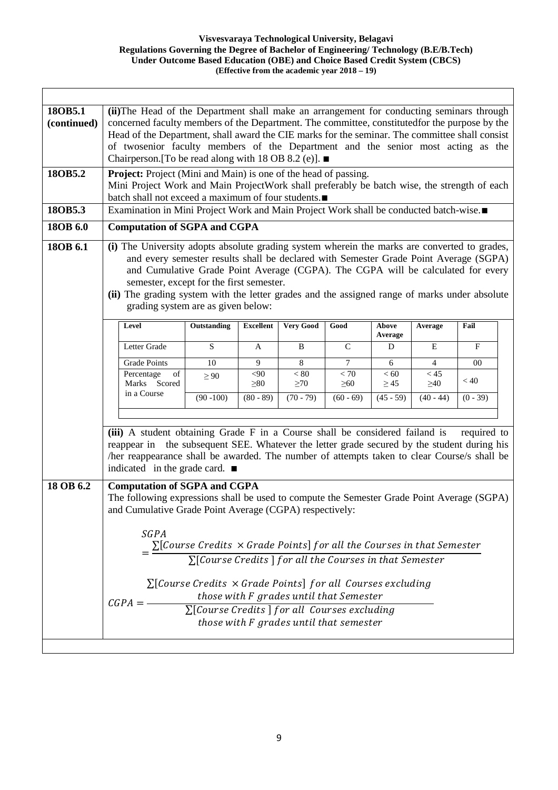$\overline{\phantom{a}}$ 

| 18OB5.1<br>(continued)<br>18OB5.2<br>18OB5.3<br>18OB 6.0<br>18OB 6.1 | (ii) The Head of the Department shall make an arrangement for conducting seminars through<br>concerned faculty members of the Department. The committee, constitutedfor the purpose by the<br>Head of the Department, shall award the CIE marks for the seminar. The committee shall consist<br>of twosenior faculty members of the Department and the senior most acting as the<br>Chairperson. [To be read along with 18 OB 8.2 (e)]. $\blacksquare$<br><b>Project:</b> Project (Mini and Main) is one of the head of passing.<br>Mini Project Work and Main ProjectWork shall preferably be batch wise, the strength of each<br>batch shall not exceed a maximum of four students.<br>Examination in Mini Project Work and Main Project Work shall be conducted batch-wise.■<br><b>Computation of SGPA and CGPA</b><br>(i) The University adopts absolute grading system wherein the marks are converted to grades,<br>and every semester results shall be declared with Semester Grade Point Average (SGPA)<br>and Cumulative Grade Point Average (CGPA). The CGPA will be calculated for every<br>semester, except for the first semester.<br>(ii) The grading system with the letter grades and the assigned range of marks under absolute |                                                                                                                                                                                                                                                                                                    |                     |                               |                                                                                    |                     |                   |             |  |
|----------------------------------------------------------------------|--------------------------------------------------------------------------------------------------------------------------------------------------------------------------------------------------------------------------------------------------------------------------------------------------------------------------------------------------------------------------------------------------------------------------------------------------------------------------------------------------------------------------------------------------------------------------------------------------------------------------------------------------------------------------------------------------------------------------------------------------------------------------------------------------------------------------------------------------------------------------------------------------------------------------------------------------------------------------------------------------------------------------------------------------------------------------------------------------------------------------------------------------------------------------------------------------------------------------------------------------|----------------------------------------------------------------------------------------------------------------------------------------------------------------------------------------------------------------------------------------------------------------------------------------------------|---------------------|-------------------------------|------------------------------------------------------------------------------------|---------------------|-------------------|-------------|--|
|                                                                      | grading system are as given below:                                                                                                                                                                                                                                                                                                                                                                                                                                                                                                                                                                                                                                                                                                                                                                                                                                                                                                                                                                                                                                                                                                                                                                                                               |                                                                                                                                                                                                                                                                                                    |                     |                               |                                                                                    |                     |                   |             |  |
|                                                                      | Level                                                                                                                                                                                                                                                                                                                                                                                                                                                                                                                                                                                                                                                                                                                                                                                                                                                                                                                                                                                                                                                                                                                                                                                                                                            | Outstanding                                                                                                                                                                                                                                                                                        | <b>Excellent</b>    | <b>Very Good</b>              | Good                                                                               | Above<br>Average    | Average           | Fail        |  |
|                                                                      | Letter Grade                                                                                                                                                                                                                                                                                                                                                                                                                                                                                                                                                                                                                                                                                                                                                                                                                                                                                                                                                                                                                                                                                                                                                                                                                                     | S                                                                                                                                                                                                                                                                                                  | A                   | B                             | $\mathcal{C}$                                                                      | D                   | E                 | F           |  |
|                                                                      | <b>Grade Points</b>                                                                                                                                                                                                                                                                                                                                                                                                                                                                                                                                                                                                                                                                                                                                                                                                                                                                                                                                                                                                                                                                                                                                                                                                                              | $\overline{10}$                                                                                                                                                                                                                                                                                    | 9                   | $\overline{8}$                | $\tau$                                                                             | $6\,$               | $\overline{4}$    | 00          |  |
|                                                                      | Percentage<br>of<br>Marks Scored                                                                                                                                                                                                                                                                                                                                                                                                                                                                                                                                                                                                                                                                                                                                                                                                                                                                                                                                                                                                                                                                                                                                                                                                                 | $\geq 90$                                                                                                                                                                                                                                                                                          | $<$ 90<br>$\geq 80$ | $\overline{<80}$<br>$\geq 70$ | $< 70\,$<br>$\geq 60$                                                              | $< 60$<br>$\geq$ 45 | < 45<br>$\geq 40$ | < 40        |  |
|                                                                      | in a Course                                                                                                                                                                                                                                                                                                                                                                                                                                                                                                                                                                                                                                                                                                                                                                                                                                                                                                                                                                                                                                                                                                                                                                                                                                      | $(90 - 100)$                                                                                                                                                                                                                                                                                       | $(80 - 89)$         | $(70 - 79)$                   | $(60 - 69)$                                                                        | $(45 - 59)$         | $(40 - 44)$       | $(0 - 39)$  |  |
| 18 OB 6.2                                                            | (iii) A student obtaining Grade F in a Course shall be considered failand is<br>reappear in the subsequent SEE. Whatever the letter grade secured by the student during his<br>/her reappearance shall be awarded. The number of attempts taken to clear Course/s shall be<br>indicated in the grade card. $\blacksquare$<br><b>Computation of SGPA and CGPA</b><br>The following expressions shall be used to compute the Semester Grade Point Average (SGPA)<br>and Cumulative Grade Point Average (CGPA) respectively:<br>SGPA<br>$CGPA =$                                                                                                                                                                                                                                                                                                                                                                                                                                                                                                                                                                                                                                                                                                    | $\Sigma$ [Course Credits $\times$ Grade Points] for all the Courses in that Semester<br>$\Sigma$ [Course Credits] for all the Courses in that Semester<br>$\Sigma$ [Course Credits $\times$ Grade Points] for all Courses excluding<br>$\sqrt{\sum [Course\ Credits\ }]$ for all Courses excluding |                     |                               | those with F grades until that Semester<br>those with F grades until that semester |                     |                   | required to |  |

Ι

 $\overline{\phantom{a}}$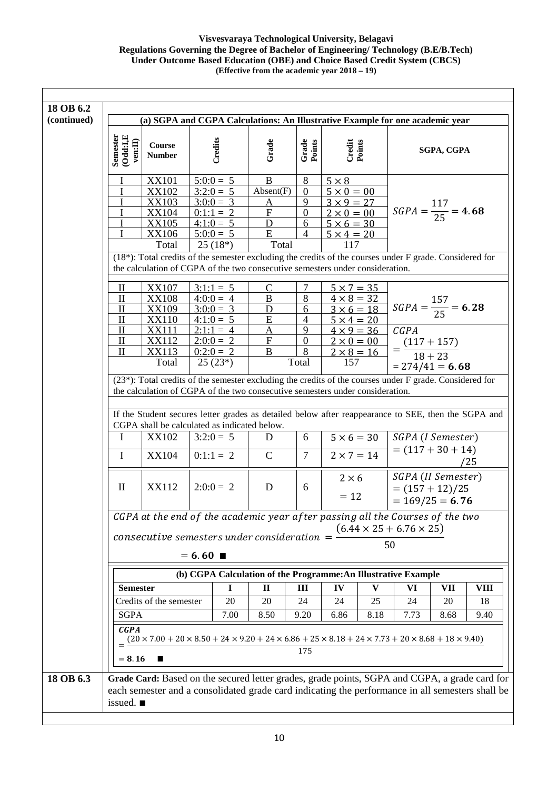| 18 OB 6.2   |                                                                                     |                                                                                         |                                                                                                                                                                                                                                                                                                 |                                                                                     |                                                                       |                                                                                                                              |                                                              |                                                           |            |             |
|-------------|-------------------------------------------------------------------------------------|-----------------------------------------------------------------------------------------|-------------------------------------------------------------------------------------------------------------------------------------------------------------------------------------------------------------------------------------------------------------------------------------------------|-------------------------------------------------------------------------------------|-----------------------------------------------------------------------|------------------------------------------------------------------------------------------------------------------------------|--------------------------------------------------------------|-----------------------------------------------------------|------------|-------------|
| (continued) | (a) SGPA and CGPA Calculations: An Illustrative Example for one academic year       |                                                                                         |                                                                                                                                                                                                                                                                                                 |                                                                                     |                                                                       |                                                                                                                              |                                                              |                                                           |            |             |
|             | $\begin{array}{c} \mbox{Semester} \\ (\mbox{Odd:1,E} \\ \mbox{ven:II}) \end{array}$ | Course<br><b>Number</b>                                                                 | Credits                                                                                                                                                                                                                                                                                         | Grade                                                                               | Grade<br>Points                                                       | Credit<br>Points                                                                                                             |                                                              |                                                           | SGPA, CGPA |             |
|             |                                                                                     | <b>XX101</b><br>XX102<br><b>XX103</b><br><b>XX104</b><br><b>XX105</b><br>XX106<br>Total | $5:0:0 = 5$<br>$3:2:0=5$<br>$3:0:0 = 3$<br>$0:1:1 = 2$<br>$4:1:0 = 5$<br>$5:0:0 = 5$<br>$25(18*)$<br>(18*): Total credits of the semester excluding the credits of the courses under F grade. Considered for                                                                                    | B<br>Absent(F)<br>$\bf A$<br>$\boldsymbol{\mathrm{F}}$<br>$\mathbf D$<br>E<br>Total | 8<br>$\boldsymbol{0}$<br>9<br>$\boldsymbol{0}$<br>6<br>$\overline{4}$ | $5 \times 8$<br>$5 \times 0 = 00$<br>$3 \times 9 = 27$<br>$2 \times 0 = 00$<br>$5 \times 6 = 30$<br>$5 \times 4 = 20$<br>117 |                                                              | $SGPA = \frac{117}{25} = 4.68$                            |            |             |
|             | $\mathbf{I}$<br>$\mathbf{I}$<br>П                                                   | <b>XX107</b><br><b>XX108</b><br><b>XX109</b>                                            | the calculation of CGPA of the two consecutive semesters under consideration.<br>$3:1:1 = 5$<br>$4:0:0 = 4$<br>$3:0:0 = 3$                                                                                                                                                                      | C<br>$\, {\bf B}$<br>D                                                              | 7<br>8<br>6                                                           | $5 \times 7 = 35$<br>$4 \times 8 = 32$<br>$3 \times 6 = 18$                                                                  |                                                              | $SGPA = \frac{157}{25} = 6.28$                            |            |             |
|             | $\mathbf H$<br>$\mathbf{I}$<br>П<br>$\mathbf{I}$                                    | XX110<br><b>XX111</b><br><b>XX112</b><br>XX113<br>Total                                 | $4:1:0=5$<br>$2:1:1 = 4$<br>$2:0:0 = 2$<br>$0:2:0=2$<br>$25(23*)$                                                                                                                                                                                                                               | ${\bf E}$<br>$\rm A$<br>F<br>B                                                      | 4<br>9<br>$\mathbf{0}$<br>8<br>Total                                  | $5 \times 4 = 20$<br>157                                                                                                     | $4 \times 9 = 36$<br>$\frac{2\times 0 = 00}{2\times 8 = 16}$ | CGPA<br>$=\frac{(117+157)}{18+23}$<br>$= 274/41 = 6.68$   |            |             |
|             |                                                                                     |                                                                                         | (23*): Total credits of the semester excluding the credits of the courses under F grade. Considered for<br>the calculation of CGPA of the two consecutive semesters under consideration.<br>If the Student secures letter grades as detailed below after reappearance to SEE, then the SGPA and |                                                                                     |                                                                       |                                                                                                                              |                                                              |                                                           |            |             |
|             | I                                                                                   | <b>XX102</b>                                                                            | CGPA shall be calculated as indicated below.<br>$3:2:0 = 5$                                                                                                                                                                                                                                     | D                                                                                   | 6                                                                     |                                                                                                                              | $5 \times 6 = 30$                                            | SGPA (I Semester)                                         |            |             |
|             | $\mathbf I$                                                                         | <b>XX104</b>                                                                            | $0:1:1 = 2$                                                                                                                                                                                                                                                                                     | $\mathcal{C}$                                                                       | $\tau$                                                                | $2 \times 7 = 14$                                                                                                            |                                                              | $= (117 + 30 + 14)$                                       |            | /25         |
|             | $\mathbf{I}$                                                                        | XX112                                                                                   | $2:0:0 = 2$                                                                                                                                                                                                                                                                                     | D                                                                                   | 6                                                                     | $2 \times 6$<br>$= 12$                                                                                                       |                                                              | SGPA (II Semester)<br>$=(157+12)/25$<br>$= 169/25 = 6.76$ |            |             |
|             |                                                                                     |                                                                                         | CGPA at the end of the academic year after passing all the Courses of the two<br>$consecutive$ semesters under consideration $=$                                                                                                                                                                |                                                                                     |                                                                       |                                                                                                                              |                                                              | $(6.44 \times 25 + 6.76 \times 25)$                       |            |             |
|             |                                                                                     |                                                                                         | $= 6.60$                                                                                                                                                                                                                                                                                        |                                                                                     |                                                                       |                                                                                                                              | 50                                                           |                                                           |            |             |
|             |                                                                                     |                                                                                         | (b) CGPA Calculation of the Programme: An Illustrative Example                                                                                                                                                                                                                                  |                                                                                     |                                                                       |                                                                                                                              |                                                              |                                                           |            |             |
|             | <b>Semester</b>                                                                     |                                                                                         | $\mathbf I$                                                                                                                                                                                                                                                                                     | $\mathbf{I}$                                                                        | Ш                                                                     | IV                                                                                                                           | $\mathbf{V}$                                                 | VI                                                        | VII        | <b>VIII</b> |
|             |                                                                                     | Credits of the semester                                                                 | 20                                                                                                                                                                                                                                                                                              | 20                                                                                  | 24                                                                    | 24                                                                                                                           | 25                                                           | 24                                                        | 20         | 18          |
|             | <b>SGPA</b>                                                                         |                                                                                         | 7.00                                                                                                                                                                                                                                                                                            | 8.50                                                                                | 9.20                                                                  | 6.86                                                                                                                         | 8.18                                                         | 7.73                                                      | 8.68       | 9.40        |
|             | <b>CGPA</b><br>$= 8.16$                                                             | п                                                                                       | $(20 \times 7.00 + 20 \times 8.50 + 24 \times 9.20 + 24 \times 6.86 + 25 \times 8.18 + 24 \times 7.73 + 20 \times 8.68 + 18 \times 9.40)$                                                                                                                                                       |                                                                                     | 175                                                                   |                                                                                                                              |                                                              |                                                           |            |             |
| 18 OB 6.3   | issued. $\blacksquare$                                                              |                                                                                         | Grade Card: Based on the secured letter grades, grade points, SGPA and CGPA, a grade card for<br>each semester and a consolidated grade card indicating the performance in all semesters shall be                                                                                               |                                                                                     |                                                                       |                                                                                                                              |                                                              |                                                           |            |             |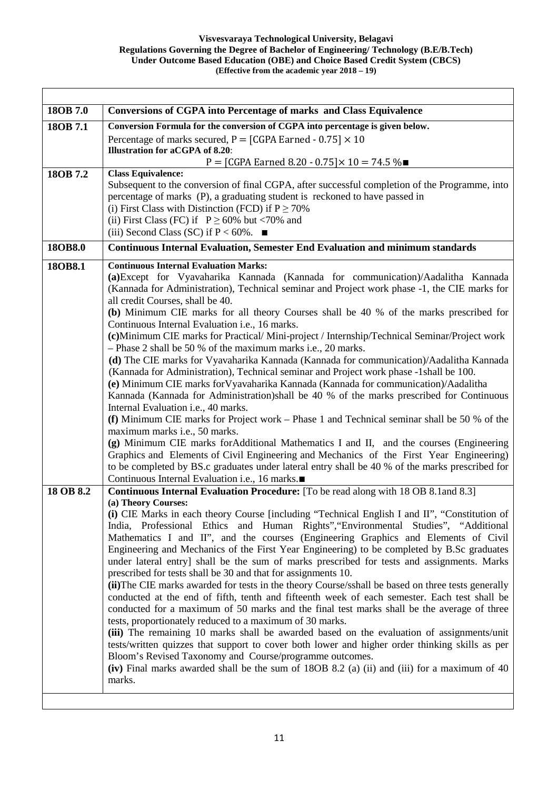| 18OB 7.0  | <b>Conversions of CGPA into Percentage of marks and Class Equivalence</b>                                                                                                                          |
|-----------|----------------------------------------------------------------------------------------------------------------------------------------------------------------------------------------------------|
| 18OB 7.1  | Conversion Formula for the conversion of CGPA into percentage is given below.                                                                                                                      |
|           | Percentage of marks secured, $P = [CGPA \text{ Earned - } 0.75] \times 10$                                                                                                                         |
|           | <b>Illustration for aCGPA of 8.20:</b>                                                                                                                                                             |
| 18OB 7.2  | P = [CGPA Earned 8.20 - 0.75] × 10 = 74.5 %■<br><b>Class Equivalence:</b>                                                                                                                          |
|           | Subsequent to the conversion of final CGPA, after successful completion of the Programme, into                                                                                                     |
|           | percentage of marks (P), a graduating student is reckoned to have passed in                                                                                                                        |
|           | (i) First Class with Distinction (FCD) if $P \ge 70\%$                                                                                                                                             |
|           | (ii) First Class (FC) if $P \ge 60\%$ but <70% and                                                                                                                                                 |
|           | (iii) Second Class (SC) if $P < 60\%$ .                                                                                                                                                            |
| 18OB8.0   | <b>Continuous Internal Evaluation, Semester End Evaluation and minimum standards</b>                                                                                                               |
| 18OB8.1   | <b>Continuous Internal Evaluation Marks:</b>                                                                                                                                                       |
|           | (a) Except for Vyavaharika Kannada (Kannada for communication)/Aadalitha Kannada                                                                                                                   |
|           | (Kannada for Administration), Technical seminar and Project work phase -1, the CIE marks for                                                                                                       |
|           | all credit Courses, shall be 40.                                                                                                                                                                   |
|           | (b) Minimum CIE marks for all theory Courses shall be 40 % of the marks prescribed for                                                                                                             |
|           | Continuous Internal Evaluation <i>i.e.</i> , 16 marks.                                                                                                                                             |
|           | (c)Minimum CIE marks for Practical/Mini-project / Internship/Technical Seminar/Project work                                                                                                        |
|           | - Phase 2 shall be 50 % of the maximum marks i.e., 20 marks.<br>(d) The CIE marks for Vyavaharika Kannada (Kannada for communication)/Aadalitha Kannada                                            |
|           | (Kannada for Administration), Technical seminar and Project work phase -1 shall be 100.                                                                                                            |
|           | (e) Minimum CIE marks for Vyavaharika Kannada (Kannada for communication)/Aadalitha                                                                                                                |
|           | Kannada (Kannada for Administration)shall be 40 % of the marks prescribed for Continuous                                                                                                           |
|           | Internal Evaluation i.e., 40 marks.                                                                                                                                                                |
|           | (f) Minimum CIE marks for Project work – Phase 1 and Technical seminar shall be 50 % of the                                                                                                        |
|           | maximum marks i.e., 50 marks.                                                                                                                                                                      |
|           | (g) Minimum CIE marks for Additional Mathematics I and II, and the courses (Engineering                                                                                                            |
|           | Graphics and Elements of Civil Engineering and Mechanics of the First Year Engineering)                                                                                                            |
|           | to be completed by BS.c graduates under lateral entry shall be 40 % of the marks prescribed for<br>Continuous Internal Evaluation i.e., 16 marks.■                                                 |
| 18 OB 8.2 | <b>Continuous Internal Evaluation Procedure:</b> [To be read along with 18 OB 8.1 and 8.3]                                                                                                         |
|           | (a) Theory Courses:                                                                                                                                                                                |
|           | (i) CIE Marks in each theory Course [including "Technical English I and II", "Constitution of                                                                                                      |
|           | India, Professional Ethics and Human Rights", "Environmental Studies", "Additional                                                                                                                 |
|           | Mathematics I and II", and the courses (Engineering Graphics and Elements of Civil                                                                                                                 |
|           | Engineering and Mechanics of the First Year Engineering) to be completed by B.Sc graduates                                                                                                         |
|           | under lateral entry] shall be the sum of marks prescribed for tests and assignments. Marks                                                                                                         |
|           | prescribed for tests shall be 30 and that for assignments 10.                                                                                                                                      |
|           | (ii) The CIE marks awarded for tests in the theory Course/sshall be based on three tests generally<br>conducted at the end of fifth, tenth and fifteenth week of each semester. Each test shall be |
|           | conducted for a maximum of 50 marks and the final test marks shall be the average of three                                                                                                         |
|           | tests, proportionately reduced to a maximum of 30 marks.                                                                                                                                           |
|           | (iii) The remaining 10 marks shall be awarded based on the evaluation of assignments/unit                                                                                                          |
|           | tests/written quizzes that support to cover both lower and higher order thinking skills as per                                                                                                     |
|           | Bloom's Revised Taxonomy and Course/programme outcomes.                                                                                                                                            |
|           | (iv) Final marks awarded shall be the sum of 18OB 8.2 (a) (ii) and (iii) for a maximum of 40                                                                                                       |
|           | marks.                                                                                                                                                                                             |
|           |                                                                                                                                                                                                    |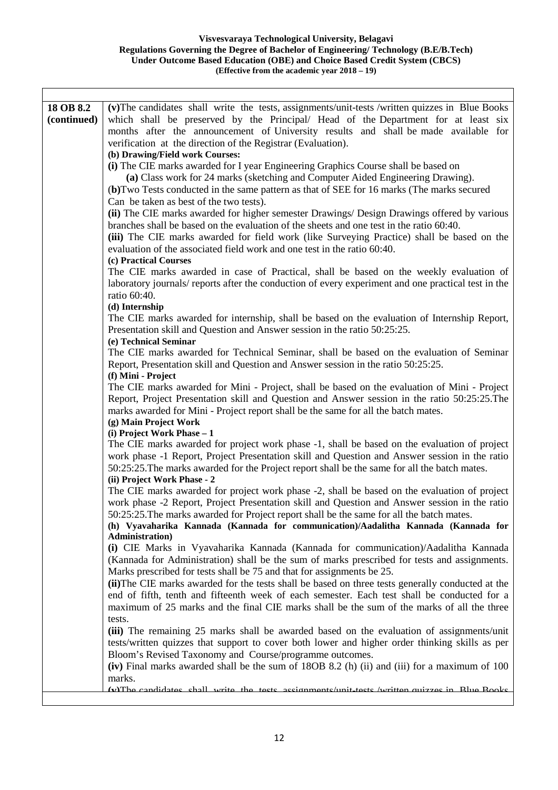| 18 OB 8.2<br>(v) The candidates shall write the tests, assignments/unit-tests /written quizzes in Blue Books<br>(continued)<br>which shall be preserved by the Principal/ Head of the Department for at least six<br>months after the announcement of University results and shall be made available for<br>verification at the direction of the Registrar (Evaluation).<br>(b) Drawing/Field work Courses:<br>(i) The CIE marks awarded for I year Engineering Graphics Course shall be based on<br>(a) Class work for 24 marks (sketching and Computer Aided Engineering Drawing).<br>(b) Two Tests conducted in the same pattern as that of SEE for 16 marks (The marks secured<br>Can be taken as best of the two tests).<br>(ii) The CIE marks awarded for higher semester Drawings/ Design Drawings offered by various<br>branches shall be based on the evaluation of the sheets and one test in the ratio 60:40.<br>(iii) The CIE marks awarded for field work (like Surveying Practice) shall be based on the<br>evaluation of the associated field work and one test in the ratio 60:40.<br>(c) Practical Courses<br>The CIE marks awarded in case of Practical, shall be based on the weekly evaluation of<br>laboratory journals/ reports after the conduction of every experiment and one practical test in the<br>ratio 60:40.<br>(d) Internship<br>The CIE marks awarded for internship, shall be based on the evaluation of Internship Report,<br>Presentation skill and Question and Answer session in the ratio 50:25:25.<br>(e) Technical Seminar |
|----------------------------------------------------------------------------------------------------------------------------------------------------------------------------------------------------------------------------------------------------------------------------------------------------------------------------------------------------------------------------------------------------------------------------------------------------------------------------------------------------------------------------------------------------------------------------------------------------------------------------------------------------------------------------------------------------------------------------------------------------------------------------------------------------------------------------------------------------------------------------------------------------------------------------------------------------------------------------------------------------------------------------------------------------------------------------------------------------------------------------------------------------------------------------------------------------------------------------------------------------------------------------------------------------------------------------------------------------------------------------------------------------------------------------------------------------------------------------------------------------------------------------------------------------------------------|
|                                                                                                                                                                                                                                                                                                                                                                                                                                                                                                                                                                                                                                                                                                                                                                                                                                                                                                                                                                                                                                                                                                                                                                                                                                                                                                                                                                                                                                                                                                                                                                      |
|                                                                                                                                                                                                                                                                                                                                                                                                                                                                                                                                                                                                                                                                                                                                                                                                                                                                                                                                                                                                                                                                                                                                                                                                                                                                                                                                                                                                                                                                                                                                                                      |
|                                                                                                                                                                                                                                                                                                                                                                                                                                                                                                                                                                                                                                                                                                                                                                                                                                                                                                                                                                                                                                                                                                                                                                                                                                                                                                                                                                                                                                                                                                                                                                      |
|                                                                                                                                                                                                                                                                                                                                                                                                                                                                                                                                                                                                                                                                                                                                                                                                                                                                                                                                                                                                                                                                                                                                                                                                                                                                                                                                                                                                                                                                                                                                                                      |
|                                                                                                                                                                                                                                                                                                                                                                                                                                                                                                                                                                                                                                                                                                                                                                                                                                                                                                                                                                                                                                                                                                                                                                                                                                                                                                                                                                                                                                                                                                                                                                      |
|                                                                                                                                                                                                                                                                                                                                                                                                                                                                                                                                                                                                                                                                                                                                                                                                                                                                                                                                                                                                                                                                                                                                                                                                                                                                                                                                                                                                                                                                                                                                                                      |
|                                                                                                                                                                                                                                                                                                                                                                                                                                                                                                                                                                                                                                                                                                                                                                                                                                                                                                                                                                                                                                                                                                                                                                                                                                                                                                                                                                                                                                                                                                                                                                      |
|                                                                                                                                                                                                                                                                                                                                                                                                                                                                                                                                                                                                                                                                                                                                                                                                                                                                                                                                                                                                                                                                                                                                                                                                                                                                                                                                                                                                                                                                                                                                                                      |
|                                                                                                                                                                                                                                                                                                                                                                                                                                                                                                                                                                                                                                                                                                                                                                                                                                                                                                                                                                                                                                                                                                                                                                                                                                                                                                                                                                                                                                                                                                                                                                      |
|                                                                                                                                                                                                                                                                                                                                                                                                                                                                                                                                                                                                                                                                                                                                                                                                                                                                                                                                                                                                                                                                                                                                                                                                                                                                                                                                                                                                                                                                                                                                                                      |
|                                                                                                                                                                                                                                                                                                                                                                                                                                                                                                                                                                                                                                                                                                                                                                                                                                                                                                                                                                                                                                                                                                                                                                                                                                                                                                                                                                                                                                                                                                                                                                      |
|                                                                                                                                                                                                                                                                                                                                                                                                                                                                                                                                                                                                                                                                                                                                                                                                                                                                                                                                                                                                                                                                                                                                                                                                                                                                                                                                                                                                                                                                                                                                                                      |
|                                                                                                                                                                                                                                                                                                                                                                                                                                                                                                                                                                                                                                                                                                                                                                                                                                                                                                                                                                                                                                                                                                                                                                                                                                                                                                                                                                                                                                                                                                                                                                      |
|                                                                                                                                                                                                                                                                                                                                                                                                                                                                                                                                                                                                                                                                                                                                                                                                                                                                                                                                                                                                                                                                                                                                                                                                                                                                                                                                                                                                                                                                                                                                                                      |
|                                                                                                                                                                                                                                                                                                                                                                                                                                                                                                                                                                                                                                                                                                                                                                                                                                                                                                                                                                                                                                                                                                                                                                                                                                                                                                                                                                                                                                                                                                                                                                      |
|                                                                                                                                                                                                                                                                                                                                                                                                                                                                                                                                                                                                                                                                                                                                                                                                                                                                                                                                                                                                                                                                                                                                                                                                                                                                                                                                                                                                                                                                                                                                                                      |
|                                                                                                                                                                                                                                                                                                                                                                                                                                                                                                                                                                                                                                                                                                                                                                                                                                                                                                                                                                                                                                                                                                                                                                                                                                                                                                                                                                                                                                                                                                                                                                      |
|                                                                                                                                                                                                                                                                                                                                                                                                                                                                                                                                                                                                                                                                                                                                                                                                                                                                                                                                                                                                                                                                                                                                                                                                                                                                                                                                                                                                                                                                                                                                                                      |
|                                                                                                                                                                                                                                                                                                                                                                                                                                                                                                                                                                                                                                                                                                                                                                                                                                                                                                                                                                                                                                                                                                                                                                                                                                                                                                                                                                                                                                                                                                                                                                      |
|                                                                                                                                                                                                                                                                                                                                                                                                                                                                                                                                                                                                                                                                                                                                                                                                                                                                                                                                                                                                                                                                                                                                                                                                                                                                                                                                                                                                                                                                                                                                                                      |
|                                                                                                                                                                                                                                                                                                                                                                                                                                                                                                                                                                                                                                                                                                                                                                                                                                                                                                                                                                                                                                                                                                                                                                                                                                                                                                                                                                                                                                                                                                                                                                      |
|                                                                                                                                                                                                                                                                                                                                                                                                                                                                                                                                                                                                                                                                                                                                                                                                                                                                                                                                                                                                                                                                                                                                                                                                                                                                                                                                                                                                                                                                                                                                                                      |
| The CIE marks awarded for Technical Seminar, shall be based on the evaluation of Seminar                                                                                                                                                                                                                                                                                                                                                                                                                                                                                                                                                                                                                                                                                                                                                                                                                                                                                                                                                                                                                                                                                                                                                                                                                                                                                                                                                                                                                                                                             |
| Report, Presentation skill and Question and Answer session in the ratio 50:25:25.                                                                                                                                                                                                                                                                                                                                                                                                                                                                                                                                                                                                                                                                                                                                                                                                                                                                                                                                                                                                                                                                                                                                                                                                                                                                                                                                                                                                                                                                                    |
| (f) Mini - Project<br>The CIE marks awarded for Mini - Project, shall be based on the evaluation of Mini - Project                                                                                                                                                                                                                                                                                                                                                                                                                                                                                                                                                                                                                                                                                                                                                                                                                                                                                                                                                                                                                                                                                                                                                                                                                                                                                                                                                                                                                                                   |
| Report, Project Presentation skill and Question and Answer session in the ratio 50:25:25. The                                                                                                                                                                                                                                                                                                                                                                                                                                                                                                                                                                                                                                                                                                                                                                                                                                                                                                                                                                                                                                                                                                                                                                                                                                                                                                                                                                                                                                                                        |
| marks awarded for Mini - Project report shall be the same for all the batch mates.                                                                                                                                                                                                                                                                                                                                                                                                                                                                                                                                                                                                                                                                                                                                                                                                                                                                                                                                                                                                                                                                                                                                                                                                                                                                                                                                                                                                                                                                                   |
| (g) Main Project Work                                                                                                                                                                                                                                                                                                                                                                                                                                                                                                                                                                                                                                                                                                                                                                                                                                                                                                                                                                                                                                                                                                                                                                                                                                                                                                                                                                                                                                                                                                                                                |
| (i) Project Work Phase - 1                                                                                                                                                                                                                                                                                                                                                                                                                                                                                                                                                                                                                                                                                                                                                                                                                                                                                                                                                                                                                                                                                                                                                                                                                                                                                                                                                                                                                                                                                                                                           |
| The CIE marks awarded for project work phase -1, shall be based on the evaluation of project                                                                                                                                                                                                                                                                                                                                                                                                                                                                                                                                                                                                                                                                                                                                                                                                                                                                                                                                                                                                                                                                                                                                                                                                                                                                                                                                                                                                                                                                         |
| work phase -1 Report, Project Presentation skill and Question and Answer session in the ratio                                                                                                                                                                                                                                                                                                                                                                                                                                                                                                                                                                                                                                                                                                                                                                                                                                                                                                                                                                                                                                                                                                                                                                                                                                                                                                                                                                                                                                                                        |
| 50:25:25. The marks awarded for the Project report shall be the same for all the batch mates.                                                                                                                                                                                                                                                                                                                                                                                                                                                                                                                                                                                                                                                                                                                                                                                                                                                                                                                                                                                                                                                                                                                                                                                                                                                                                                                                                                                                                                                                        |
| (ii) Project Work Phase - 2                                                                                                                                                                                                                                                                                                                                                                                                                                                                                                                                                                                                                                                                                                                                                                                                                                                                                                                                                                                                                                                                                                                                                                                                                                                                                                                                                                                                                                                                                                                                          |
| The CIE marks awarded for project work phase -2, shall be based on the evaluation of project                                                                                                                                                                                                                                                                                                                                                                                                                                                                                                                                                                                                                                                                                                                                                                                                                                                                                                                                                                                                                                                                                                                                                                                                                                                                                                                                                                                                                                                                         |
| work phase -2 Report, Project Presentation skill and Question and Answer session in the ratio                                                                                                                                                                                                                                                                                                                                                                                                                                                                                                                                                                                                                                                                                                                                                                                                                                                                                                                                                                                                                                                                                                                                                                                                                                                                                                                                                                                                                                                                        |
| 50:25:25. The marks awarded for Project report shall be the same for all the batch mates.                                                                                                                                                                                                                                                                                                                                                                                                                                                                                                                                                                                                                                                                                                                                                                                                                                                                                                                                                                                                                                                                                                                                                                                                                                                                                                                                                                                                                                                                            |
| (h) Vyavaharika Kannada (Kannada for communication)/Aadalitha Kannada (Kannada for                                                                                                                                                                                                                                                                                                                                                                                                                                                                                                                                                                                                                                                                                                                                                                                                                                                                                                                                                                                                                                                                                                                                                                                                                                                                                                                                                                                                                                                                                   |
| Administration)                                                                                                                                                                                                                                                                                                                                                                                                                                                                                                                                                                                                                                                                                                                                                                                                                                                                                                                                                                                                                                                                                                                                                                                                                                                                                                                                                                                                                                                                                                                                                      |
| (i) CIE Marks in Vyavaharika Kannada (Kannada for communication)/Aadalitha Kannada                                                                                                                                                                                                                                                                                                                                                                                                                                                                                                                                                                                                                                                                                                                                                                                                                                                                                                                                                                                                                                                                                                                                                                                                                                                                                                                                                                                                                                                                                   |
| (Kannada for Administration) shall be the sum of marks prescribed for tests and assignments.                                                                                                                                                                                                                                                                                                                                                                                                                                                                                                                                                                                                                                                                                                                                                                                                                                                                                                                                                                                                                                                                                                                                                                                                                                                                                                                                                                                                                                                                         |
| Marks prescribed for tests shall be 75 and that for assignments be 25.                                                                                                                                                                                                                                                                                                                                                                                                                                                                                                                                                                                                                                                                                                                                                                                                                                                                                                                                                                                                                                                                                                                                                                                                                                                                                                                                                                                                                                                                                               |
| (ii) The CIE marks awarded for the tests shall be based on three tests generally conducted at the                                                                                                                                                                                                                                                                                                                                                                                                                                                                                                                                                                                                                                                                                                                                                                                                                                                                                                                                                                                                                                                                                                                                                                                                                                                                                                                                                                                                                                                                    |
| end of fifth, tenth and fifteenth week of each semester. Each test shall be conducted for a                                                                                                                                                                                                                                                                                                                                                                                                                                                                                                                                                                                                                                                                                                                                                                                                                                                                                                                                                                                                                                                                                                                                                                                                                                                                                                                                                                                                                                                                          |
| maximum of 25 marks and the final CIE marks shall be the sum of the marks of all the three                                                                                                                                                                                                                                                                                                                                                                                                                                                                                                                                                                                                                                                                                                                                                                                                                                                                                                                                                                                                                                                                                                                                                                                                                                                                                                                                                                                                                                                                           |
| tests.                                                                                                                                                                                                                                                                                                                                                                                                                                                                                                                                                                                                                                                                                                                                                                                                                                                                                                                                                                                                                                                                                                                                                                                                                                                                                                                                                                                                                                                                                                                                                               |
| (iii) The remaining 25 marks shall be awarded based on the evaluation of assignments/unit                                                                                                                                                                                                                                                                                                                                                                                                                                                                                                                                                                                                                                                                                                                                                                                                                                                                                                                                                                                                                                                                                                                                                                                                                                                                                                                                                                                                                                                                            |
| tests/written quizzes that support to cover both lower and higher order thinking skills as per                                                                                                                                                                                                                                                                                                                                                                                                                                                                                                                                                                                                                                                                                                                                                                                                                                                                                                                                                                                                                                                                                                                                                                                                                                                                                                                                                                                                                                                                       |
| Bloom's Revised Taxonomy and Course/programme outcomes.                                                                                                                                                                                                                                                                                                                                                                                                                                                                                                                                                                                                                                                                                                                                                                                                                                                                                                                                                                                                                                                                                                                                                                                                                                                                                                                                                                                                                                                                                                              |
| (iv) Final marks awarded shall be the sum of 180B 8.2 (h) (ii) and (iii) for a maximum of 100                                                                                                                                                                                                                                                                                                                                                                                                                                                                                                                                                                                                                                                                                                                                                                                                                                                                                                                                                                                                                                                                                                                                                                                                                                                                                                                                                                                                                                                                        |
| marks.                                                                                                                                                                                                                                                                                                                                                                                                                                                                                                                                                                                                                                                                                                                                                                                                                                                                                                                                                                                                                                                                                                                                                                                                                                                                                                                                                                                                                                                                                                                                                               |
| <u>(v)The candidates shall write the tests assignments/unit.tests/written.quizzes.in Rlue Rooks</u>                                                                                                                                                                                                                                                                                                                                                                                                                                                                                                                                                                                                                                                                                                                                                                                                                                                                                                                                                                                                                                                                                                                                                                                                                                                                                                                                                                                                                                                                  |
|                                                                                                                                                                                                                                                                                                                                                                                                                                                                                                                                                                                                                                                                                                                                                                                                                                                                                                                                                                                                                                                                                                                                                                                                                                                                                                                                                                                                                                                                                                                                                                      |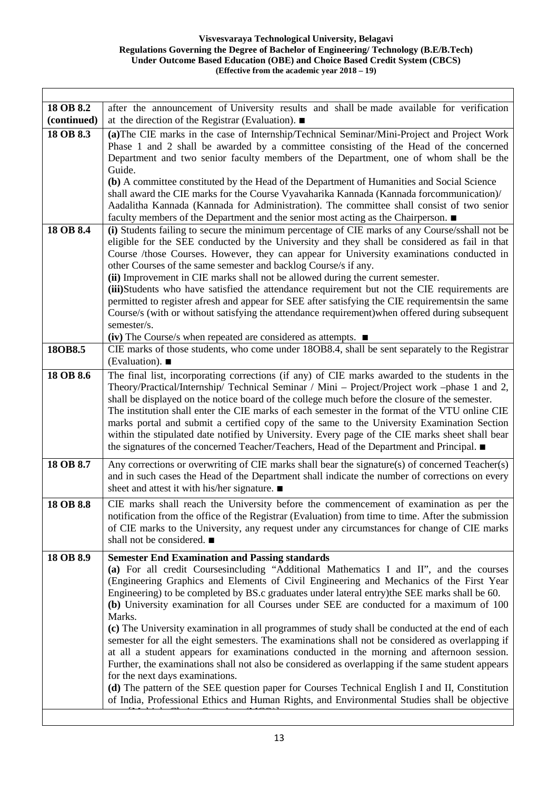٦

 $\Gamma$ 

| 18 OB 8.2   | after the announcement of University results and shall be made available for verification                                                                                                                                                                                                                                                                                                                                                                                                    |
|-------------|----------------------------------------------------------------------------------------------------------------------------------------------------------------------------------------------------------------------------------------------------------------------------------------------------------------------------------------------------------------------------------------------------------------------------------------------------------------------------------------------|
| (continued) | at the direction of the Registrar (Evaluation). $\blacksquare$                                                                                                                                                                                                                                                                                                                                                                                                                               |
| 18 OB 8.3   | (a) The CIE marks in the case of Internship/Technical Seminar/Mini-Project and Project Work<br>Phase 1 and 2 shall be awarded by a committee consisting of the Head of the concerned<br>Department and two senior faculty members of the Department, one of whom shall be the                                                                                                                                                                                                                |
|             | Guide.                                                                                                                                                                                                                                                                                                                                                                                                                                                                                       |
|             | (b) A committee constituted by the Head of the Department of Humanities and Social Science<br>shall award the CIE marks for the Course Vyavaharika Kannada (Kannada forcommunication)/                                                                                                                                                                                                                                                                                                       |
|             | Aadalitha Kannada (Kannada for Administration). The committee shall consist of two senior<br>faculty members of the Department and the senior most acting as the Chairperson. ■                                                                                                                                                                                                                                                                                                              |
| 18 OB 8.4   | (i) Students failing to secure the minimum percentage of CIE marks of any Course/sshall not be<br>eligible for the SEE conducted by the University and they shall be considered as fail in that<br>Course /those Courses. However, they can appear for University examinations conducted in<br>other Courses of the same semester and backlog Course/s if any.                                                                                                                               |
|             | (ii) Improvement in CIE marks shall not be allowed during the current semester.                                                                                                                                                                                                                                                                                                                                                                                                              |
|             | (iii)Students who have satisfied the attendance requirement but not the CIE requirements are<br>permitted to register afresh and appear for SEE after satisfying the CIE requirements in the same                                                                                                                                                                                                                                                                                            |
|             | Course/s (with or without satisfying the attendance requirement) when offered during subsequent                                                                                                                                                                                                                                                                                                                                                                                              |
|             | semester/s.                                                                                                                                                                                                                                                                                                                                                                                                                                                                                  |
|             | $(iv)$ The Course/s when repeated are considered as attempts. $\blacksquare$                                                                                                                                                                                                                                                                                                                                                                                                                 |
| 18OB8.5     | CIE marks of those students, who come under 18OB8.4, shall be sent separately to the Registrar                                                                                                                                                                                                                                                                                                                                                                                               |
|             | (Evaluation). $\blacksquare$                                                                                                                                                                                                                                                                                                                                                                                                                                                                 |
| 18 OB 8.6   | The final list, incorporating corrections (if any) of CIE marks awarded to the students in the<br>Theory/Practical/Internship/ Technical Seminar / Mini – Project/Project work –phase 1 and 2,                                                                                                                                                                                                                                                                                               |
|             | shall be displayed on the notice board of the college much before the closure of the semester.<br>The institution shall enter the CIE marks of each semester in the format of the VTU online CIE<br>marks portal and submit a certified copy of the same to the University Examination Section<br>within the stipulated date notified by University. Every page of the CIE marks sheet shall bear<br>the signatures of the concerned Teacher/Teachers, Head of the Department and Principal. |
| 18 OB 8.7   | Any corrections or overwriting of CIE marks shall bear the signature(s) of concerned Teacher(s)<br>and in such cases the Head of the Department shall indicate the number of corrections on every<br>sheet and attest it with his/her signature. ■                                                                                                                                                                                                                                           |
| 18 OB 8.8   | CIE marks shall reach the University before the commencement of examination as per the<br>notification from the office of the Registrar (Evaluation) from time to time. After the submission<br>of CIE marks to the University, any request under any circumstances for change of CIE marks<br>shall not be considered. ■                                                                                                                                                                    |
| 18 OB 8.9   | <b>Semester End Examination and Passing standards</b>                                                                                                                                                                                                                                                                                                                                                                                                                                        |
|             | (a) For all credit Coursesincluding "Additional Mathematics I and II", and the courses<br>(Engineering Graphics and Elements of Civil Engineering and Mechanics of the First Year<br>Engineering) to be completed by BS.c graduates under lateral entry) the SEE marks shall be 60.<br>(b) University examination for all Courses under SEE are conducted for a maximum of 100<br>Marks.                                                                                                     |
|             | (c) The University examination in all programmes of study shall be conducted at the end of each<br>semester for all the eight semesters. The examinations shall not be considered as overlapping if<br>at all a student appears for examinations conducted in the morning and afternoon session.<br>Further, the examinations shall not also be considered as overlapping if the same student appears<br>for the next days examinations.                                                     |
|             | (d) The pattern of the SEE question paper for Courses Technical English I and II, Constitution<br>of India, Professional Ethics and Human Rights, and Environmental Studies shall be objective                                                                                                                                                                                                                                                                                               |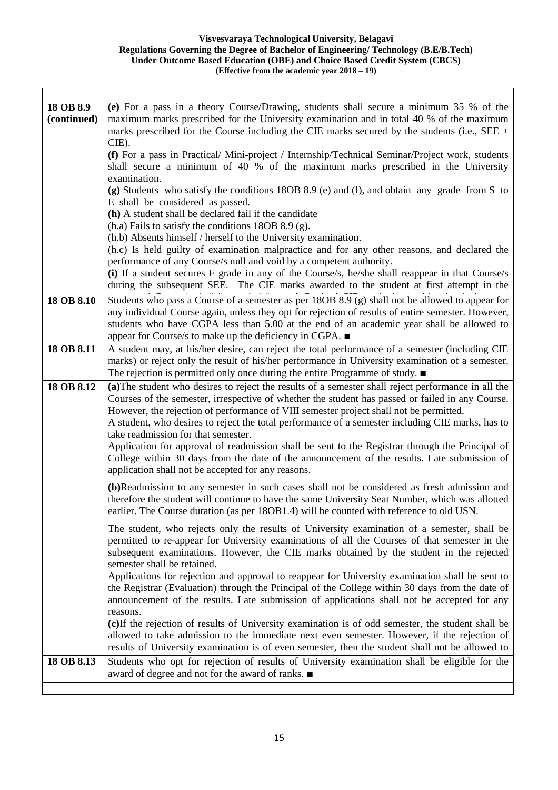┓

| 18 OB 8.9   | (e) For a pass in a theory Course/Drawing, students shall secure a minimum 35 % of the                                                                                                      |
|-------------|---------------------------------------------------------------------------------------------------------------------------------------------------------------------------------------------|
| (continued) | maximum marks prescribed for the University examination and in total 40 % of the maximum                                                                                                    |
|             | marks prescribed for the Course including the CIE marks secured by the students (i.e., SEE +                                                                                                |
|             | CIE).                                                                                                                                                                                       |
|             | (f) For a pass in Practical/Mini-project / Internship/Technical Seminar/Project work, students                                                                                              |
|             | shall secure a minimum of 40 % of the maximum marks prescribed in the University                                                                                                            |
|             | examination.                                                                                                                                                                                |
|             | (g) Students who satisfy the conditions 18OB 8.9 (e) and (f), and obtain any grade from S to                                                                                                |
|             | E shall be considered as passed.                                                                                                                                                            |
|             | (h) A student shall be declared fail if the candidate                                                                                                                                       |
|             | $(h.a)$ Fails to satisfy the conditions 18OB 8.9 (g).                                                                                                                                       |
|             | (h.b) Absents himself / herself to the University examination.                                                                                                                              |
|             | (h.c) Is held guilty of examination malpractice and for any other reasons, and declared the                                                                                                 |
|             | performance of any Course/s null and void by a competent authority.                                                                                                                         |
|             | (i) If a student secures F grade in any of the Course/s, he/she shall reappear in that Course/s                                                                                             |
|             | during the subsequent SEE. The CIE marks awarded to the student at first attempt in the                                                                                                     |
| 18 OB 8.10  | Students who pass a Course of a semester as per 18OB 8.9 (g) shall not be allowed to appear for                                                                                             |
|             | any individual Course again, unless they opt for rejection of results of entire semester. However,                                                                                          |
|             | students who have CGPA less than 5.00 at the end of an academic year shall be allowed to                                                                                                    |
|             | appear for Course/s to make up the deficiency in CGPA. ■                                                                                                                                    |
| 18 OB 8.11  | A student may, at his/her desire, can reject the total performance of a semester (including CIE                                                                                             |
|             | marks) or reject only the result of his/her performance in University examination of a semester.                                                                                            |
|             | The rejection is permitted only once during the entire Programme of study. $\blacksquare$                                                                                                   |
| 18 OB 8.12  | (a) The student who desires to reject the results of a semester shall reject performance in all the                                                                                         |
|             | Courses of the semester, irrespective of whether the student has passed or failed in any Course.                                                                                            |
|             | However, the rejection of performance of VIII semester project shall not be permitted.<br>A student, who desires to reject the total performance of a semester including CIE marks, has to  |
|             | take readmission for that semester.                                                                                                                                                         |
|             | Application for approval of readmission shall be sent to the Registrar through the Principal of                                                                                             |
|             | College within 30 days from the date of the announcement of the results. Late submission of                                                                                                 |
|             | application shall not be accepted for any reasons.                                                                                                                                          |
|             |                                                                                                                                                                                             |
|             | (b)Readmission to any semester in such cases shall not be considered as fresh admission and                                                                                                 |
|             | therefore the student will continue to have the same University Seat Number, which was allotted<br>earlier. The Course duration (as per 180B1.4) will be counted with reference to old USN. |
|             |                                                                                                                                                                                             |
|             | The student, who rejects only the results of University examination of a semester, shall be                                                                                                 |
|             | permitted to re-appear for University examinations of all the Courses of that semester in the                                                                                               |
|             | subsequent examinations. However, the CIE marks obtained by the student in the rejected                                                                                                     |
|             | semester shall be retained.                                                                                                                                                                 |
|             | Applications for rejection and approval to reappear for University examination shall be sent to                                                                                             |
|             | the Registrar (Evaluation) through the Principal of the College within 30 days from the date of                                                                                             |
|             | announcement of the results. Late submission of applications shall not be accepted for any                                                                                                  |
|             | reasons.<br>(c) If the rejection of results of University examination is of odd semester, the student shall be                                                                              |
|             | allowed to take admission to the immediate next even semester. However, if the rejection of                                                                                                 |
|             | results of University examination is of even semester, then the student shall not be allowed to                                                                                             |
| 18 OB 8.13  | Students who opt for rejection of results of University examination shall be eligible for the                                                                                               |
|             | award of degree and not for the award of ranks. ■                                                                                                                                           |
|             |                                                                                                                                                                                             |

Ι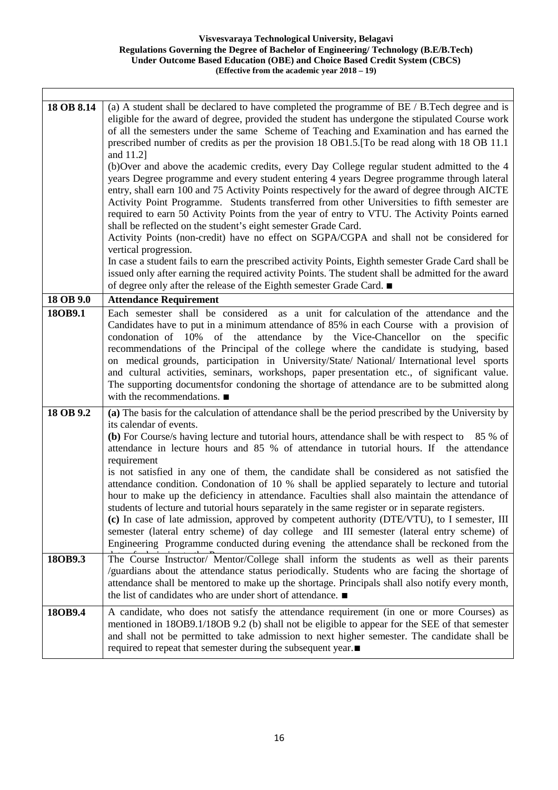| 18 OB 8.14 | (a) A student shall be declared to have completed the programme of $BE / B$ . Tech degree and is<br>eligible for the award of degree, provided the student has undergone the stipulated Course work<br>of all the semesters under the same Scheme of Teaching and Examination and has earned the<br>prescribed number of credits as per the provision 18 OB1.5. [To be read along with 18 OB 11.1]<br>and 11.2]<br>(b)Over and above the academic credits, every Day College regular student admitted to the 4<br>years Degree programme and every student entering 4 years Degree programme through lateral<br>entry, shall earn 100 and 75 Activity Points respectively for the award of degree through AICTE<br>Activity Point Programme. Students transferred from other Universities to fifth semester are<br>required to earn 50 Activity Points from the year of entry to VTU. The Activity Points earned<br>shall be reflected on the student's eight semester Grade Card.<br>Activity Points (non-credit) have no effect on SGPA/CGPA and shall not be considered for<br>vertical progression.<br>In case a student fails to earn the prescribed activity Points, Eighth semester Grade Card shall be<br>issued only after earning the required activity Points. The student shall be admitted for the award<br>of degree only after the release of the Eighth semester Grade Card. ■ |
|------------|------------------------------------------------------------------------------------------------------------------------------------------------------------------------------------------------------------------------------------------------------------------------------------------------------------------------------------------------------------------------------------------------------------------------------------------------------------------------------------------------------------------------------------------------------------------------------------------------------------------------------------------------------------------------------------------------------------------------------------------------------------------------------------------------------------------------------------------------------------------------------------------------------------------------------------------------------------------------------------------------------------------------------------------------------------------------------------------------------------------------------------------------------------------------------------------------------------------------------------------------------------------------------------------------------------------------------------------------------------------------------------------------|
| 18 OB 9.0  | <b>Attendance Requirement</b>                                                                                                                                                                                                                                                                                                                                                                                                                                                                                                                                                                                                                                                                                                                                                                                                                                                                                                                                                                                                                                                                                                                                                                                                                                                                                                                                                                  |
| 18OB9.1    | Each semester shall be considered as a unit for calculation of the attendance and the<br>Candidates have to put in a minimum attendance of 85% in each Course with a provision of<br>attendance by the Vice-Chancellor on the<br>condonation of 10%<br>of<br>the<br>specific<br>recommendations of the Principal of the college where the candidate is studying, based<br>on medical grounds, participation in University/State/ National/ International level sports<br>and cultural activities, seminars, workshops, paper presentation etc., of significant value.<br>The supporting documents for condoning the shortage of attendance are to be submitted along<br>with the recommendations. $\blacksquare$                                                                                                                                                                                                                                                                                                                                                                                                                                                                                                                                                                                                                                                                               |
| 18 OB 9.2  | (a) The basis for the calculation of attendance shall be the period prescribed by the University by<br>its calendar of events.<br>(b) For Course/s having lecture and tutorial hours, attendance shall be with respect to<br>85 % of<br>attendance in lecture hours and 85 % of attendance in tutorial hours. If the attendance<br>requirement<br>is not satisfied in any one of them, the candidate shall be considered as not satisfied the<br>attendance condition. Condonation of 10 % shall be applied separately to lecture and tutorial<br>hour to make up the deficiency in attendance. Faculties shall also maintain the attendance of<br>students of lecture and tutorial hours separately in the same register or in separate registers.<br>(c) In case of late admission, approved by competent authority (DTE/VTU), to I semester, III<br>semester (lateral entry scheme) of day college and III semester (lateral entry scheme) of<br>Engineering Programme conducted during evening the attendance shall be reckoned from the                                                                                                                                                                                                                                                                                                                                                   |
| 18OB9.3    | The Course Instructor/ Mentor/College shall inform the students as well as their parents<br>/guardians about the attendance status periodically. Students who are facing the shortage of<br>attendance shall be mentored to make up the shortage. Principals shall also notify every month,<br>the list of candidates who are under short of attendance. ■                                                                                                                                                                                                                                                                                                                                                                                                                                                                                                                                                                                                                                                                                                                                                                                                                                                                                                                                                                                                                                     |
| 18OB9.4    | A candidate, who does not satisfy the attendance requirement (in one or more Courses) as<br>mentioned in 18OB9.1/18OB 9.2 (b) shall not be eligible to appear for the SEE of that semester<br>and shall not be permitted to take admission to next higher semester. The candidate shall be<br>required to repeat that semester during the subsequent year.■                                                                                                                                                                                                                                                                                                                                                                                                                                                                                                                                                                                                                                                                                                                                                                                                                                                                                                                                                                                                                                    |

Ι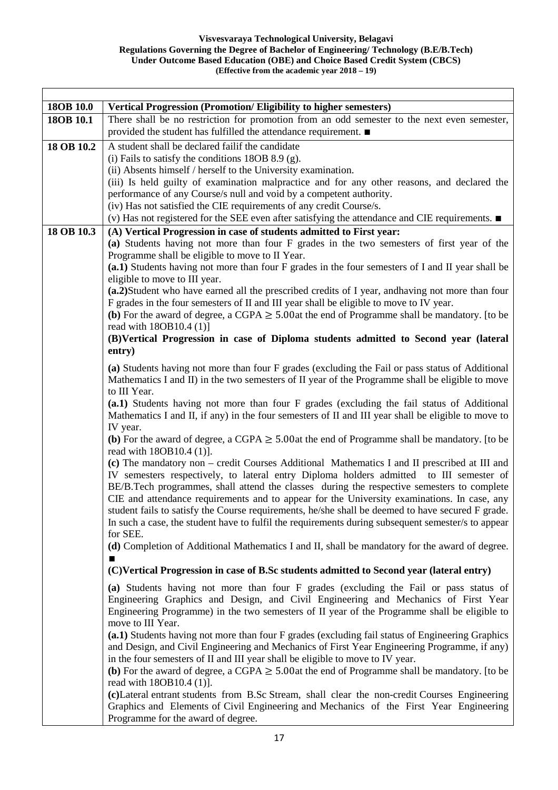| 18OB 10.0  | <b>Vertical Progression (Promotion/Eligibility to higher semesters)</b>                                                                                                                      |
|------------|----------------------------------------------------------------------------------------------------------------------------------------------------------------------------------------------|
| 18OB 10.1  | There shall be no restriction for promotion from an odd semester to the next even semester,                                                                                                  |
|            | provided the student has fulfilled the attendance requirement. ■                                                                                                                             |
| 18 OB 10.2 | A student shall be declared failif the candidate                                                                                                                                             |
|            | (i) Fails to satisfy the conditions $18OB 8.9$ (g).                                                                                                                                          |
|            | (ii) Absents himself / herself to the University examination.                                                                                                                                |
|            | (iii) Is held guilty of examination malpractice and for any other reasons, and declared the                                                                                                  |
|            | performance of any Course/s null and void by a competent authority.                                                                                                                          |
|            | (iv) Has not satisfied the CIE requirements of any credit Course/s.                                                                                                                          |
|            | (v) Has not registered for the SEE even after satisfying the attendance and CIE requirements. $\blacksquare$                                                                                 |
| 18 OB 10.3 | (A) Vertical Progression in case of students admitted to First year:                                                                                                                         |
|            | (a) Students having not more than four F grades in the two semesters of first year of the                                                                                                    |
|            | Programme shall be eligible to move to II Year.                                                                                                                                              |
|            | (a.1) Students having not more than four F grades in the four semesters of I and II year shall be                                                                                            |
|            | eligible to move to III year.                                                                                                                                                                |
|            | (a.2) Student who have earned all the prescribed credits of I year, and having not more than four<br>F grades in the four semesters of II and III year shall be eligible to move to IV year. |
|            | (b) For the award of degree, a CGPA $\geq$ 5.00at the end of Programme shall be mandatory. [to be                                                                                            |
|            | read with 18OB10.4 (1)]                                                                                                                                                                      |
|            | (B)Vertical Progression in case of Diploma students admitted to Second year (lateral                                                                                                         |
|            | entry)                                                                                                                                                                                       |
|            | (a) Students having not more than four F grades (excluding the Fail or pass status of Additional                                                                                             |
|            | Mathematics I and II) in the two semesters of II year of the Programme shall be eligible to move                                                                                             |
|            | to III Year.                                                                                                                                                                                 |
|            | (a.1) Students having not more than four F grades (excluding the fail status of Additional                                                                                                   |
|            | Mathematics I and II, if any) in the four semesters of II and III year shall be eligible to move to                                                                                          |
|            | IV year.                                                                                                                                                                                     |
|            | (b) For the award of degree, a CGPA $\geq$ 5.00at the end of Programme shall be mandatory. [to be<br>read with 18OB10.4 (1).                                                                 |
|            | (c) The mandatory non – credit Courses Additional Mathematics I and II prescribed at III and                                                                                                 |
|            | IV semesters respectively, to lateral entry Diploma holders admitted to III semester of                                                                                                      |
|            | BE/B.Tech programmes, shall attend the classes during the respective semesters to complete                                                                                                   |
|            | CIE and attendance requirements and to appear for the University examinations. In case, any                                                                                                  |
|            | student fails to satisfy the Course requirements, he/she shall be deemed to have secured F grade.                                                                                            |
|            | In such a case, the student have to fulfil the requirements during subsequent semester/s to appear                                                                                           |
|            | for SEE.                                                                                                                                                                                     |
|            | (d) Completion of Additional Mathematics I and II, shall be mandatory for the award of degree.                                                                                               |
|            | (C)Vertical Progression in case of B.Sc students admitted to Second year (lateral entry)                                                                                                     |
|            | (a) Students having not more than four F grades (excluding the Fail or pass status of                                                                                                        |
|            | Engineering Graphics and Design, and Civil Engineering and Mechanics of First Year                                                                                                           |
|            | Engineering Programme) in the two semesters of II year of the Programme shall be eligible to                                                                                                 |
|            | move to III Year.                                                                                                                                                                            |
|            | (a.1) Students having not more than four F grades (excluding fail status of Engineering Graphics                                                                                             |
|            | and Design, and Civil Engineering and Mechanics of First Year Engineering Programme, if any)                                                                                                 |
|            | in the four semesters of II and III year shall be eligible to move to IV year.                                                                                                               |
|            | (b) For the award of degree, a CGPA $\geq$ 5.00at the end of Programme shall be mandatory. [to be                                                                                            |
|            | read with 18OB10.4 (1)].                                                                                                                                                                     |
|            | (c) Lateral entrant students from B.Sc Stream, shall clear the non-credit Courses Engineering                                                                                                |
|            | Graphics and Elements of Civil Engineering and Mechanics of the First Year Engineering                                                                                                       |
|            | Programme for the award of degree.                                                                                                                                                           |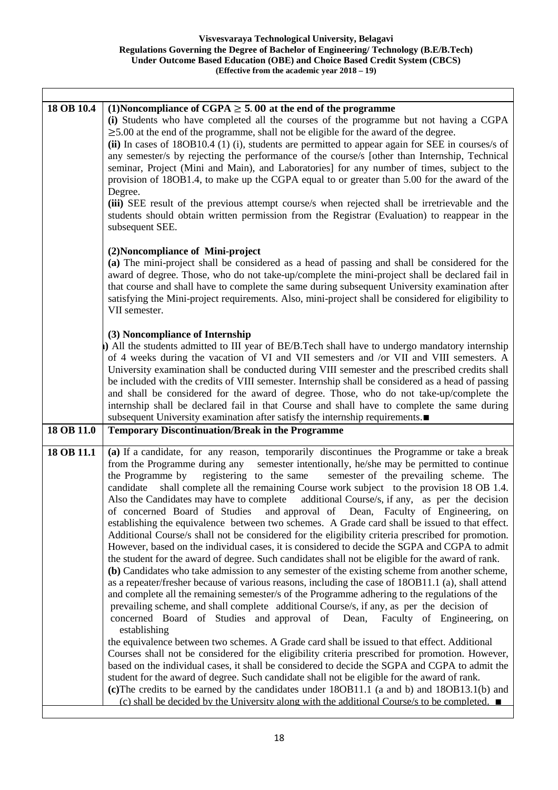٦

 $\sqrt{ }$ 

| 18 OB 10.4 | (1) Noncompliance of CGPA $\geq$ 5.00 at the end of the programme<br>(i) Students who have completed all the courses of the programme but not having a CGPA<br>$\geq$ 5.00 at the end of the programme, shall not be eligible for the award of the degree.<br>(ii) In cases of 18OB10.4 (1) (i), students are permitted to appear again for SEE in courses/s of<br>any semester/s by rejecting the performance of the course/s [other than Internship, Technical<br>seminar, Project (Mini and Main), and Laboratories] for any number of times, subject to the<br>provision of 18OB1.4, to make up the CGPA equal to or greater than 5.00 for the award of the<br>Degree.<br>(iii) SEE result of the previous attempt course/s when rejected shall be irretrievable and the<br>students should obtain written permission from the Registrar (Evaluation) to reappear in the<br>subsequent SEE.                                                                                                                                                                                                                                                                                                                                                                                                                                                                                                                                                                                                                                                                                                                                                                                                                                                                                                                                                                                                                                                                                                                                                                                                                 |
|------------|-----------------------------------------------------------------------------------------------------------------------------------------------------------------------------------------------------------------------------------------------------------------------------------------------------------------------------------------------------------------------------------------------------------------------------------------------------------------------------------------------------------------------------------------------------------------------------------------------------------------------------------------------------------------------------------------------------------------------------------------------------------------------------------------------------------------------------------------------------------------------------------------------------------------------------------------------------------------------------------------------------------------------------------------------------------------------------------------------------------------------------------------------------------------------------------------------------------------------------------------------------------------------------------------------------------------------------------------------------------------------------------------------------------------------------------------------------------------------------------------------------------------------------------------------------------------------------------------------------------------------------------------------------------------------------------------------------------------------------------------------------------------------------------------------------------------------------------------------------------------------------------------------------------------------------------------------------------------------------------------------------------------------------------------------------------------------------------------------------------------|
|            | (2) Noncompliance of Mini-project<br>(a) The mini-project shall be considered as a head of passing and shall be considered for the<br>award of degree. Those, who do not take-up/complete the mini-project shall be declared fail in<br>that course and shall have to complete the same during subsequent University examination after<br>satisfying the Mini-project requirements. Also, mini-project shall be considered for eligibility to<br>VII semester.                                                                                                                                                                                                                                                                                                                                                                                                                                                                                                                                                                                                                                                                                                                                                                                                                                                                                                                                                                                                                                                                                                                                                                                                                                                                                                                                                                                                                                                                                                                                                                                                                                                  |
|            | (3) Noncompliance of Internship<br>) All the students admitted to III year of BE/B.Tech shall have to undergo mandatory internship<br>of 4 weeks during the vacation of VI and VII semesters and /or VII and VIII semesters. A<br>University examination shall be conducted during VIII semester and the prescribed credits shall<br>be included with the credits of VIII semester. Internship shall be considered as a head of passing<br>and shall be considered for the award of degree. Those, who do not take-up/complete the<br>internship shall be declared fail in that Course and shall have to complete the same during<br>subsequent University examination after satisfy the internship requirements.                                                                                                                                                                                                                                                                                                                                                                                                                                                                                                                                                                                                                                                                                                                                                                                                                                                                                                                                                                                                                                                                                                                                                                                                                                                                                                                                                                                               |
| 18 OB 11.0 | <b>Temporary Discontinuation/Break in the Programme</b>                                                                                                                                                                                                                                                                                                                                                                                                                                                                                                                                                                                                                                                                                                                                                                                                                                                                                                                                                                                                                                                                                                                                                                                                                                                                                                                                                                                                                                                                                                                                                                                                                                                                                                                                                                                                                                                                                                                                                                                                                                                         |
| 18 OB 11.1 | (a) If a candidate, for any reason, temporarily discontinues the Programme or take a break<br>from the Programme during any<br>semester intentionally, he/she may be permitted to continue<br>the Programme by<br>registering to the same<br>semester of the prevailing scheme. The<br>shall complete all the remaining Course work subject to the provision 18 OB 1.4.<br>candidate<br>Also the Candidates may have to complete<br>additional Course/s, if any, as per the decision<br>of concerned Board of Studies<br>and approval of Dean, Faculty of Engineering, on<br>establishing the equivalence between two schemes. A Grade card shall be issued to that effect.<br>Additional Course/s shall not be considered for the eligibility criteria prescribed for promotion.<br>However, based on the individual cases, it is considered to decide the SGPA and CGPA to admit<br>the student for the award of degree. Such candidates shall not be eligible for the award of rank.<br>(b) Candidates who take admission to any semester of the existing scheme from another scheme,<br>as a repeater/fresher because of various reasons, including the case of 180B11.1 (a), shall attend<br>and complete all the remaining semester/s of the Programme adhering to the regulations of the<br>prevailing scheme, and shall complete additional Course/s, if any, as per the decision of<br>concerned Board of Studies and approval of Dean,<br>Faculty of Engineering, on<br>establishing<br>the equivalence between two schemes. A Grade card shall be issued to that effect. Additional<br>Courses shall not be considered for the eligibility criteria prescribed for promotion. However,<br>based on the individual cases, it shall be considered to decide the SGPA and CGPA to admit the<br>student for the award of degree. Such candidate shall not be eligible for the award of rank.<br>(c) The credits to be earned by the candidates under 180B11.1 (a and b) and 180B13.1(b) and<br>(c) shall be decided by the University along with the additional Course/s to be completed. $\blacksquare$ |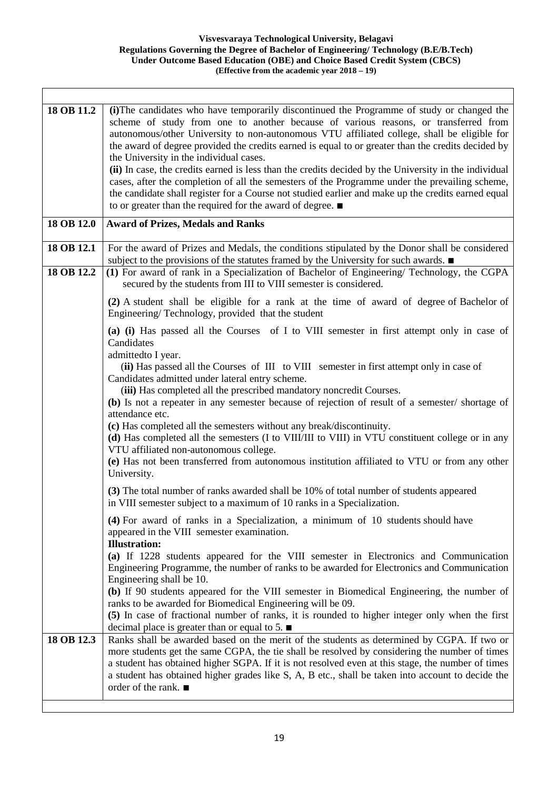┑

| 18 OB 11.2 | (i) The candidates who have temporarily discontinued the Programme of study or changed the<br>scheme of study from one to another because of various reasons, or transferred from<br>autonomous/other University to non-autonomous VTU affiliated college, shall be eligible for<br>the award of degree provided the credits earned is equal to or greater than the credits decided by<br>the University in the individual cases.<br>(ii) In case, the credits earned is less than the credits decided by the University in the individual<br>cases, after the completion of all the semesters of the Programme under the prevailing scheme,<br>the candidate shall register for a Course not studied earlier and make up the credits earned equal<br>to or greater than the required for the award of degree. $\blacksquare$ |
|------------|-------------------------------------------------------------------------------------------------------------------------------------------------------------------------------------------------------------------------------------------------------------------------------------------------------------------------------------------------------------------------------------------------------------------------------------------------------------------------------------------------------------------------------------------------------------------------------------------------------------------------------------------------------------------------------------------------------------------------------------------------------------------------------------------------------------------------------|
| 18 OB 12.0 | <b>Award of Prizes, Medals and Ranks</b>                                                                                                                                                                                                                                                                                                                                                                                                                                                                                                                                                                                                                                                                                                                                                                                      |
| 18 OB 12.1 | For the award of Prizes and Medals, the conditions stipulated by the Donor shall be considered<br>subject to the provisions of the statutes framed by the University for such awards.                                                                                                                                                                                                                                                                                                                                                                                                                                                                                                                                                                                                                                         |
| 18 OB 12.2 | (1) For award of rank in a Specialization of Bachelor of Engineering/ Technology, the CGPA<br>secured by the students from III to VIII semester is considered.                                                                                                                                                                                                                                                                                                                                                                                                                                                                                                                                                                                                                                                                |
|            | (2) A student shall be eligible for a rank at the time of award of degree of Bachelor of<br>Engineering/Technology, provided that the student                                                                                                                                                                                                                                                                                                                                                                                                                                                                                                                                                                                                                                                                                 |
|            | (a) (i) Has passed all the Courses of I to VIII semester in first attempt only in case of<br>Candidates<br>admittedto I year.<br>(ii) Has passed all the Courses of III to VIII semester in first attempt only in case of<br>Candidates admitted under lateral entry scheme.<br>(iii) Has completed all the prescribed mandatory noncredit Courses.<br>(b) Is not a repeater in any semester because of rejection of result of a semester/shortage of<br>attendance etc.<br>(c) Has completed all the semesters without any break/discontinuity.<br>(d) Has completed all the semesters (I to VIII/III to VIII) in VTU constituent college or in any<br>VTU affiliated non-autonomous college.<br>(e) Has not been transferred from autonomous institution affiliated to VTU or from any other<br>University.                 |
|            | (3) The total number of ranks awarded shall be 10% of total number of students appeared<br>in VIII semester subject to a maximum of 10 ranks in a Specialization.<br>(4) For award of ranks in a Specialization, a minimum of 10 students should have<br>appeared in the VIII semester examination.                                                                                                                                                                                                                                                                                                                                                                                                                                                                                                                           |
|            | <b>Illustration:</b><br>(a) If 1228 students appeared for the VIII semester in Electronics and Communication<br>Engineering Programme, the number of ranks to be awarded for Electronics and Communication<br>Engineering shall be 10.<br>(b) If 90 students appeared for the VIII semester in Biomedical Engineering, the number of<br>ranks to be awarded for Biomedical Engineering will be 09.<br>(5) In case of fractional number of ranks, it is rounded to higher integer only when the first<br>decimal place is greater than or equal to 5. $\blacksquare$                                                                                                                                                                                                                                                           |
| 18 OB 12.3 | Ranks shall be awarded based on the merit of the students as determined by CGPA. If two or<br>more students get the same CGPA, the tie shall be resolved by considering the number of times<br>a student has obtained higher SGPA. If it is not resolved even at this stage, the number of times<br>a student has obtained higher grades like S, A, B etc., shall be taken into account to decide the<br>order of the rank. $\blacksquare$                                                                                                                                                                                                                                                                                                                                                                                    |

Ι

 $\overline{\phantom{a}}$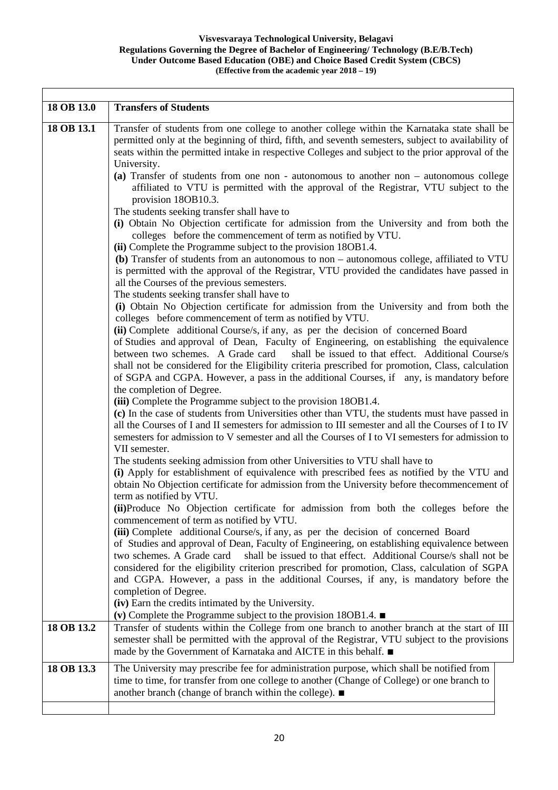┑

| 18 OB 13.0 | <b>Transfers of Students</b>                                                                                                                                                                                                                                                                                                                                                                                                                                                                          |
|------------|-------------------------------------------------------------------------------------------------------------------------------------------------------------------------------------------------------------------------------------------------------------------------------------------------------------------------------------------------------------------------------------------------------------------------------------------------------------------------------------------------------|
| 18 OB 13.1 | Transfer of students from one college to another college within the Karnataka state shall be<br>permitted only at the beginning of third, fifth, and seventh semesters, subject to availability of<br>seats within the permitted intake in respective Colleges and subject to the prior approval of the<br>University.                                                                                                                                                                                |
|            | (a) Transfer of students from one non - autonomous to another non – autonomous college<br>affiliated to VTU is permitted with the approval of the Registrar, VTU subject to the<br>provision 18OB10.3.                                                                                                                                                                                                                                                                                                |
|            | The students seeking transfer shall have to<br>(i) Obtain No Objection certificate for admission from the University and from both the<br>colleges before the commencement of term as notified by VTU.<br>(ii) Complete the Programme subject to the provision 180B1.4.                                                                                                                                                                                                                               |
|            | (b) Transfer of students from an autonomous to non - autonomous college, affiliated to VTU<br>is permitted with the approval of the Registrar, VTU provided the candidates have passed in<br>all the Courses of the previous semesters.<br>The students seeking transfer shall have to                                                                                                                                                                                                                |
|            | (i) Obtain No Objection certificate for admission from the University and from both the<br>colleges before commencement of term as notified by VTU.<br>(ii) Complete additional Course/s, if any, as per the decision of concerned Board                                                                                                                                                                                                                                                              |
|            | of Studies and approval of Dean, Faculty of Engineering, on establishing the equivalence<br>between two schemes. A Grade card<br>shall be issued to that effect. Additional Course/s<br>shall not be considered for the Eligibility criteria prescribed for promotion, Class, calculation<br>of SGPA and CGPA. However, a pass in the additional Courses, if any, is mandatory before<br>the completion of Degree.                                                                                    |
|            | (iii) Complete the Programme subject to the provision 180B1.4.<br>(c) In the case of students from Universities other than VTU, the students must have passed in<br>all the Courses of I and II semesters for admission to III semester and all the Courses of I to IV<br>semesters for admission to V semester and all the Courses of I to VI semesters for admission to<br>VII semester.                                                                                                            |
|            | The students seeking admission from other Universities to VTU shall have to<br>(i) Apply for establishment of equivalence with prescribed fees as notified by the VTU and<br>obtain No Objection certificate for admission from the University before thecommencement of<br>term as notified by VTU.                                                                                                                                                                                                  |
|            | (ii) Produce No Objection certificate for admission from both the colleges before the<br>commencement of term as notified by VTU.                                                                                                                                                                                                                                                                                                                                                                     |
|            | (iii) Complete additional Course/s, if any, as per the decision of concerned Board<br>of Studies and approval of Dean, Faculty of Engineering, on establishing equivalence between<br>shall be issued to that effect. Additional Course/s shall not be<br>two schemes. A Grade card<br>considered for the eligibility criterion prescribed for promotion, Class, calculation of SGPA<br>and CGPA. However, a pass in the additional Courses, if any, is mandatory before the<br>completion of Degree. |
|            | (iv) Earn the credits intimated by the University.<br>(v) Complete the Programme subject to the provision 180B1.4. $\blacksquare$                                                                                                                                                                                                                                                                                                                                                                     |
| 18 OB 13.2 | Transfer of students within the College from one branch to another branch at the start of III<br>semester shall be permitted with the approval of the Registrar, VTU subject to the provisions<br>made by the Government of Karnataka and AICTE in this behalf. ■                                                                                                                                                                                                                                     |
| 18 OB 13.3 | The University may prescribe fee for administration purpose, which shall be notified from<br>time to time, for transfer from one college to another (Change of College) or one branch to<br>another branch (change of branch within the college). ■                                                                                                                                                                                                                                                   |
|            |                                                                                                                                                                                                                                                                                                                                                                                                                                                                                                       |

Ι

 $\overline{\phantom{a}}$